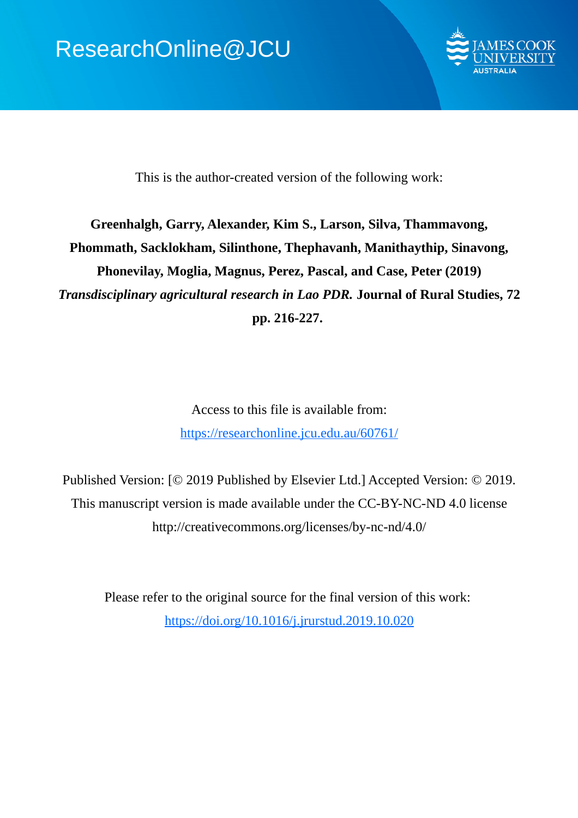

This is the author-created version of the following work:

# **Greenhalgh, Garry, Alexander, Kim S., Larson, Silva, Thammavong, Phommath, Sacklokham, Silinthone, Thephavanh, Manithaythip, Sinavong, Phonevilay, Moglia, Magnus, Perez, Pascal, and Case, Peter (2019)** *Transdisciplinary agricultural research in Lao PDR.* **Journal of Rural Studies, 72 pp. 216-227.**

Access to this file is available from: https://researchonline.jcu.edu.au/60761/

Published Version: [© 2019 Published by Elsevier Ltd.] Accepted Version: © 2019. This manuscript version is made available under the CC-BY-NC-ND 4.0 license http://creativecommons.org/licenses/by-nc-nd/4.0/

Please refer to the original source for the final version of this work: https://doi.org/10.1016/j.jrurstud.2019.10.020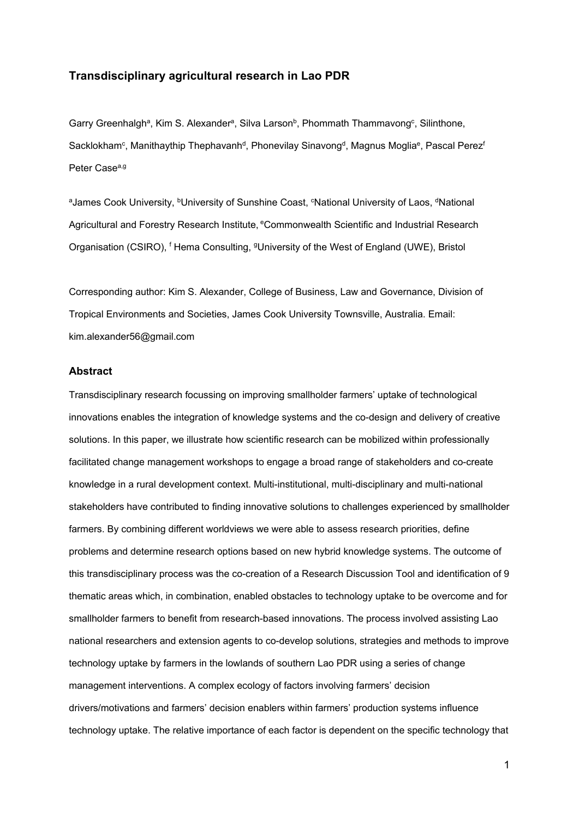# **Transdisciplinary agricultural research in Lao PDR**

Garry Greenhalgh<sup>a</sup>, Kim S. Alexander<sup>a</sup>, Silva Larson<sup>b</sup>, Phommath Thammavong<sup>c</sup>, Silinthone, Sacklokham<sup>c</sup>, Manithaythip Thephavanh<sup>d</sup>, Phonevilay Sinavong<sup>d</sup>, Magnus Moglia<sup>e</sup>, Pascal Perez<sup>t</sup> Peter Case<sup>a,g</sup>

aJames Cook University, <sup>b</sup>University of Sunshine Coast, <sup>c</sup>National University of Laos, <sup>d</sup>National Agricultural and Forestry Research Institute, <sup>e</sup>Commonwealth Scientific and Industrial Research Organisation (CSIRO), <sup>f</sup> Hema Consulting, <sup>g</sup>University of the West of England (UWE), Bristol

Corresponding author: Kim S. Alexander, College of Business, Law and Governance, Division of Tropical Environments and Societies, James Cook University Townsville, Australia. Email: [kim.alexander56@gmail.com](mailto:kim.alexander56@gmail.com)

# **Abstract**

Transdisciplinary research focussing on improving smallholder farmers' uptake of technological innovations enables the integration of knowledge systems and the co-design and delivery of creative solutions. In this paper, we illustrate how scientific research can be mobilized within professionally facilitated change management workshops to engage a broad range of stakeholders and co-create knowledge in a rural development context. Multi-institutional, multi-disciplinary and multi-national stakeholders have contributed to finding innovative solutions to challenges experienced by smallholder farmers. By combining different worldviews we were able to assess research priorities, define problems and determine research options based on new hybrid knowledge systems. The outcome of this transdisciplinary process was the co-creation of a Research Discussion Tool and identification of 9 thematic areas which, in combination, enabled obstacles to technology uptake to be overcome and for smallholder farmers to benefit from research-based innovations. The process involved assisting Lao national researchers and extension agents to co-develop solutions, strategies and methods to improve technology uptake by farmers in the lowlands of southern Lao PDR using a series of change management interventions. A complex ecology of factors involving farmers' decision drivers/motivations and farmers' decision enablers within farmers' production systems influence technology uptake. The relative importance of each factor is dependent on the specific technology that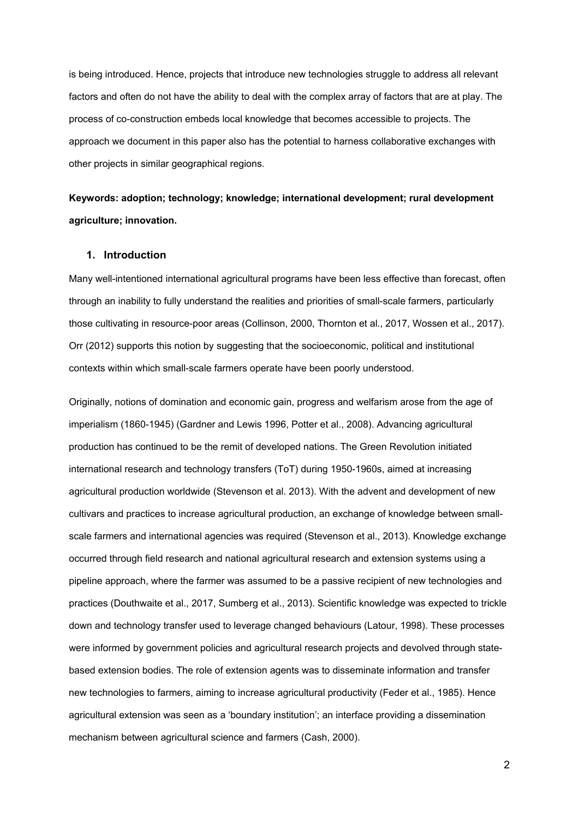is being introduced. Hence, projects that introduce new technologies struggle to address all relevant factors and often do not have the ability to deal with the complex array of factors that are at play. The process of co-construction embeds local knowledge that becomes accessible to projects. The approach we document in this paper also has the potential to harness collaborative exchanges with other projects in similar geographical regions.

# **Keywords: adoption; technology; knowledge; international development; rural development agriculture; innovation.**

# **1. Introduction**

Many well-intentioned international agricultural programs have been less effective than forecast, often through an inability to fully understand the realities and priorities of small-scale farmers, particularly those cultivating in resource-poor areas (Collinson, 2000, Thornton et al., 2017, Wossen et al., 2017). Orr (2012) supports this notion by suggesting that the socioeconomic, political and institutional contexts within which small-scale farmers operate have been poorly understood.

Originally, notions of domination and economic gain, progress and welfarism arose from the age of imperialism (1860-1945) (Gardner and Lewis 1996, Potter et al., 2008). Advancing agricultural production has continued to be the remit of developed nations. The Green Revolution initiated international research and technology transfers (ToT) during 1950-1960s, aimed at increasing agricultural production worldwide (Stevenson et al. 2013). With the advent and development of new cultivars and practices to increase agricultural production, an exchange of knowledge between smallscale farmers and international agencies was required (Stevenson et al., 2013). Knowledge exchange occurred through field research and national agricultural research and extension systems using a pipeline approach, where the farmer was assumed to be a passive recipient of new technologies and practices (Douthwaite et al., 2017, Sumberg et al., 2013). Scientific knowledge was expected to trickle down and technology transfer used to leverage changed behaviours (Latour, 1998). These processes were informed by government policies and agricultural research projects and devolved through statebased extension bodies. The role of extension agents was to disseminate information and transfer new technologies to farmers, aiming to increase agricultural productivity (Feder et al., 1985). Hence agricultural extension was seen as a 'boundary institution'; an interface providing a dissemination mechanism between agricultural science and farmers (Cash, 2000).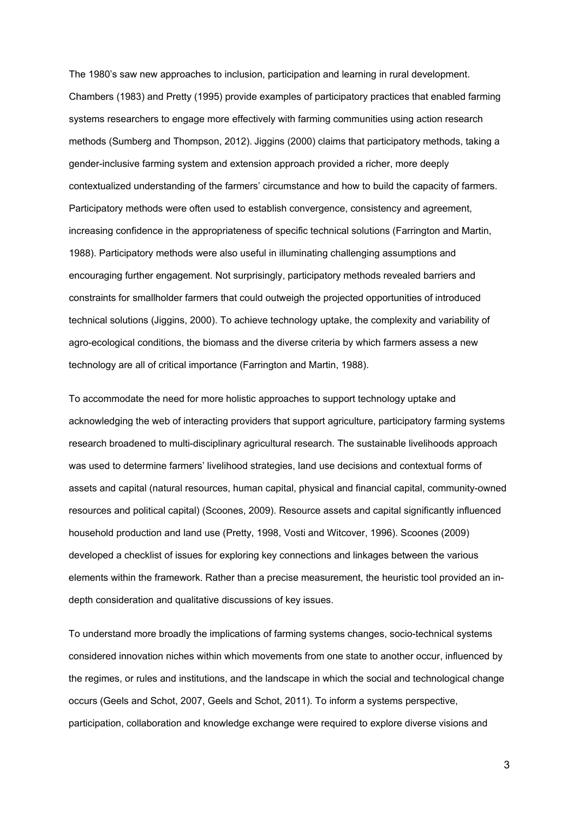The 1980's saw new approaches to inclusion, participation and learning in rural development. Chambers (1983) and Pretty (1995) provide examples of participatory practices that enabled farming systems researchers to engage more effectively with farming communities using action research methods (Sumberg and Thompson, 2012). Jiggins (2000) claims that participatory methods, taking a gender-inclusive farming system and extension approach provided a richer, more deeply contextualized understanding of the farmers' circumstance and how to build the capacity of farmers. Participatory methods were often used to establish convergence, consistency and agreement, increasing confidence in the appropriateness of specific technical solutions (Farrington and Martin, 1988). Participatory methods were also useful in illuminating challenging assumptions and encouraging further engagement. Not surprisingly, participatory methods revealed barriers and constraints for smallholder farmers that could outweigh the projected opportunities of introduced technical solutions (Jiggins, 2000). To achieve technology uptake, the complexity and variability of agro-ecological conditions, the biomass and the diverse criteria by which farmers assess a new technology are all of critical importance (Farrington and Martin, 1988).

To accommodate the need for more holistic approaches to support technology uptake and acknowledging the web of interacting providers that support agriculture, participatory farming systems research broadened to multi-disciplinary agricultural research. The sustainable livelihoods approach was used to determine farmers' livelihood strategies, land use decisions and contextual forms of assets and capital (natural resources, human capital, physical and financial capital, community-owned resources and political capital) (Scoones, 2009). Resource assets and capital significantly influenced household production and land use (Pretty, 1998, Vosti and Witcover, 1996). Scoones (2009) developed a checklist of issues for exploring key connections and linkages between the various elements within the framework. Rather than a precise measurement, the heuristic tool provided an indepth consideration and qualitative discussions of key issues.

To understand more broadly the implications of farming systems changes, socio-technical systems considered innovation niches within which movements from one state to another occur, influenced by the regimes, or rules and institutions, and the landscape in which the social and technological change occurs (Geels and Schot, 2007, Geels and Schot, 2011). To inform a systems perspective, participation, collaboration and knowledge exchange were required to explore diverse visions and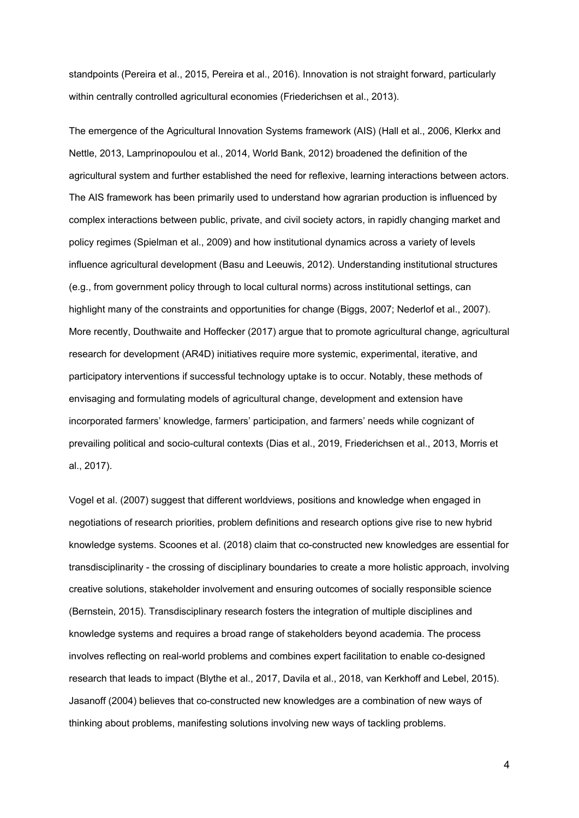standpoints (Pereira et al., 2015, Pereira et al., 2016). Innovation is not straight forward, particularly within centrally controlled agricultural economies (Friederichsen et al., 2013).

The emergence of the Agricultural Innovation Systems framework (AIS) (Hall et al., 2006, Klerkx and Nettle, 2013, Lamprinopoulou et al., 2014, World Bank, 2012) broadened the definition of the agricultural system and further established the need for reflexive, learning interactions between actors. The AIS framework has been primarily used to understand how agrarian production is influenced by complex interactions between public, private, and civil society actors, in rapidly changing market and policy regimes (Spielman et al., 2009) and how institutional dynamics across a variety of levels influence agricultural development (Basu and Leeuwis, 2012). Understanding institutional structures (e.g., from government policy through to local cultural norms) across institutional settings, can highlight many of the constraints and opportunities for change (Biggs, 2007; Nederlof et al., 2007). More recently, Douthwaite and Hoffecker (2017) argue that to promote agricultural change, agricultural research for development (AR4D) initiatives require more systemic, experimental, iterative, and participatory interventions if successful technology uptake is to occur. Notably, these methods of envisaging and formulating models of agricultural change, development and extension have incorporated farmers' knowledge, farmers' participation, and farmers' needs while cognizant of prevailing political and socio-cultural contexts (Dias et al., 2019, Friederichsen et al., 2013, Morris et al., 2017).

Vogel et al. (2007) suggest that different worldviews, positions and knowledge when engaged in negotiations of research priorities, problem definitions and research options give rise to new hybrid knowledge systems. Scoones et al. (2018) claim that co-constructed new knowledges are essential for transdisciplinarity - the crossing of disciplinary boundaries to create a more holistic approach, involving creative solutions, stakeholder involvement and ensuring outcomes of socially responsible science (Bernstein, 2015). Transdisciplinary research fosters the integration of multiple disciplines and knowledge systems and requires a broad range of stakeholders beyond academia. The process involves reflecting on real-world problems and combines expert facilitation to enable co-designed research that leads to impact (Blythe et al., 2017, Davila et al., 2018, van Kerkhoff and Lebel, 2015). Jasanoff (2004) believes that co-constructed new knowledges are a combination of new ways of thinking about problems, manifesting solutions involving new ways of tackling problems.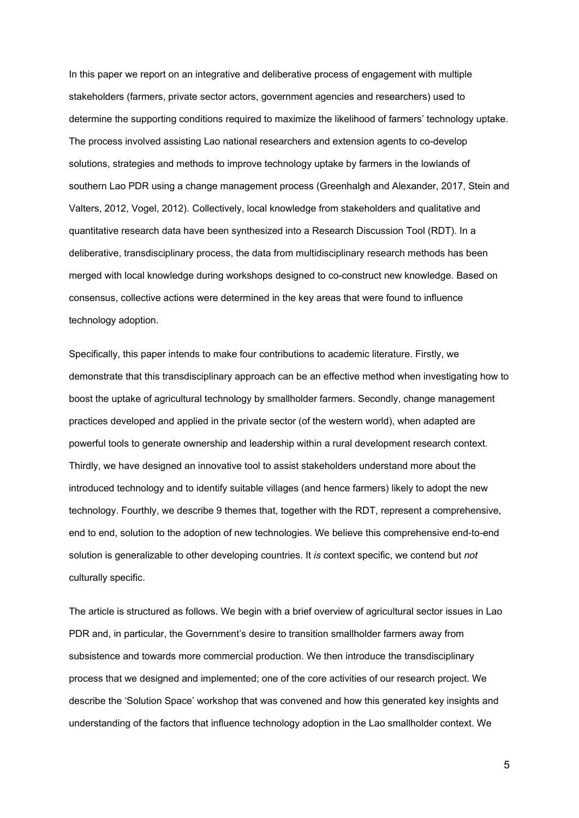In this paper we report on an integrative and deliberative process of engagement with multiple stakeholders (farmers, private sector actors, government agencies and researchers) used to determine the supporting conditions required to maximize the likelihood of farmers' technology uptake. The process involved assisting Lao national researchers and extension agents to co-develop solutions, strategies and methods to improve technology uptake by farmers in the lowlands of southern Lao PDR using a change management process (Greenhalgh and Alexander, 2017, Stein and Valters, 2012, Vogel, 2012). Collectively, local knowledge from stakeholders and qualitative and quantitative research data have been synthesized into a Research Discussion Tool (RDT). In a deliberative, transdisciplinary process, the data from multidisciplinary research methods has been merged with local knowledge during workshops designed to co-construct new knowledge. Based on consensus, collective actions were determined in the key areas that were found to influence technology adoption.

Specifically, this paper intends to make four contributions to academic literature. Firstly, we demonstrate that this transdisciplinary approach can be an effective method when investigating how to boost the uptake of agricultural technology by smallholder farmers. Secondly, change management practices developed and applied in the private sector (of the western world), when adapted are powerful tools to generate ownership and leadership within a rural development research context. Thirdly, we have designed an innovative tool to assist stakeholders understand more about the introduced technology and to identify suitable villages (and hence farmers) likely to adopt the new technology. Fourthly, we describe 9 themes that, together with the RDT, represent a comprehensive, end to end, solution to the adoption of new technologies. We believe this comprehensive end-to-end solution is generalizable to other developing countries. It *is* context specific, we contend but *not*  culturally specific.

The article is structured as follows. We begin with a brief overview of agricultural sector issues in Lao PDR and, in particular, the Government's desire to transition smallholder farmers away from subsistence and towards more commercial production. We then introduce the transdisciplinary process that we designed and implemented; one of the core activities of our research project. We describe the 'Solution Space' workshop that was convened and how this generated key insights and understanding of the factors that influence technology adoption in the Lao smallholder context. We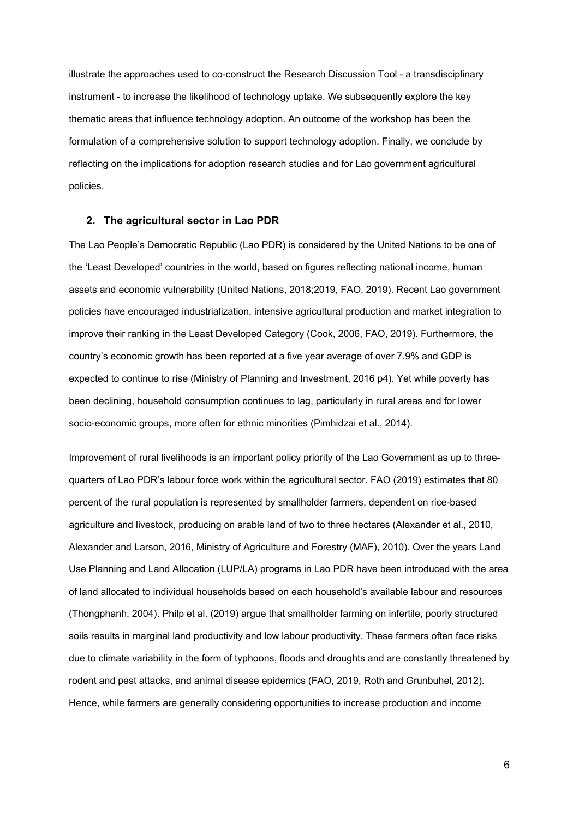illustrate the approaches used to co-construct the Research Discussion Tool - a transdisciplinary instrument - to increase the likelihood of technology uptake. We subsequently explore the key thematic areas that influence technology adoption. An outcome of the workshop has been the formulation of a comprehensive solution to support technology adoption. Finally, we conclude by reflecting on the implications for adoption research studies and for Lao government agricultural policies.

### **2. The agricultural sector in Lao PDR**

The Lao People's Democratic Republic (Lao PDR) is considered by the United Nations to be one of the 'Least Developed' countries in the world, based on figures reflecting national income, human assets and economic vulnerability (United Nations, 2018;2019, FAO, 2019). Recent Lao government policies have encouraged industrialization, intensive agricultural production and market integration to improve their ranking in the Least Developed Category (Cook, 2006, FAO, 2019). Furthermore, the country's economic growth has been reported at a five year average of over 7.9% and GDP is expected to continue to rise (Ministry of Planning and Investment, 2016 p4). Yet while poverty has been declining, household consumption continues to lag, particularly in rural areas and for lower socio-economic groups, more often for ethnic minorities (Pimhidzai et al., 2014).

Improvement of rural livelihoods is an important policy priority of the Lao Government as up to threequarters of Lao PDR's labour force work within the agricultural sector. FAO (2019) estimates that 80 percent of the rural population is represented by smallholder farmers, dependent on rice-based agriculture and livestock, producing on arable land of two to three hectares (Alexander et al., 2010, Alexander and Larson, 2016, Ministry of Agriculture and Forestry (MAF), 2010). Over the years Land Use Planning and Land Allocation (LUP/LA) programs in Lao PDR have been introduced with the area of land allocated to individual households based on each household's available labour and resources (Thongphanh, 2004). Philp et al. (2019) argue that smallholder farming on infertile, poorly structured soils results in marginal land productivity and low labour productivity. These farmers often face risks due to climate variability in the form of typhoons, floods and droughts and are constantly threatened by rodent and pest attacks, and animal disease epidemics (FAO, 2019, Roth and Grunbuhel, 2012). Hence, while farmers are generally considering opportunities to increase production and income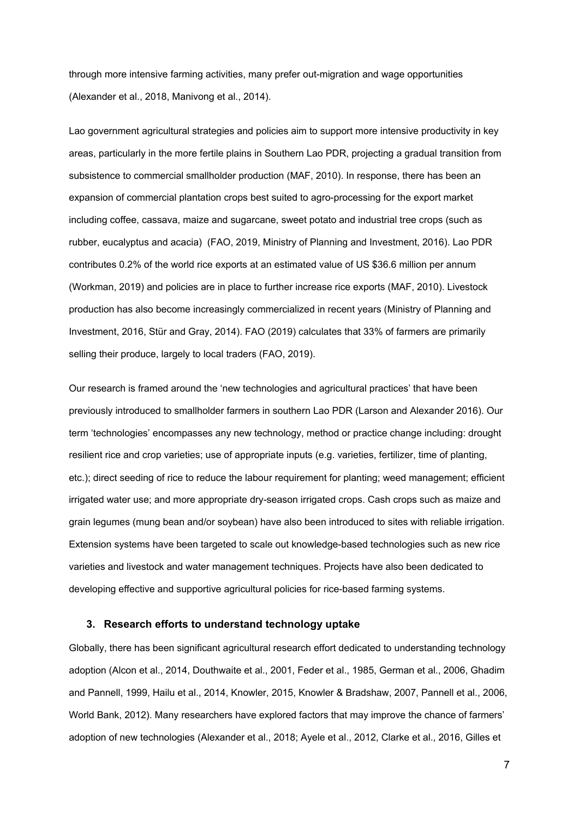through more intensive farming activities, many prefer out-migration and wage opportunities (Alexander et al., 2018, Manivong et al., 2014).

Lao government agricultural strategies and policies aim to support more intensive productivity in key areas, particularly in the more fertile plains in Southern Lao PDR, projecting a gradual transition from subsistence to commercial smallholder production (MAF, 2010). In response, there has been an expansion of commercial plantation crops best suited to agro-processing for the export market including coffee, cassava, maize and sugarcane, sweet potato and industrial tree crops (such as rubber, eucalyptus and acacia) (FAO, 2019, Ministry of Planning and Investment, 2016). Lao PDR contributes 0.2% of the world rice exports at an estimated value of US \$36.6 million per annum (Workman, 2019) and policies are in place to further increase rice exports (MAF, 2010). Livestock production has also become increasingly commercialized in recent years (Ministry of Planning and Investment, 2016, Stür and Gray, 2014). FAO (2019) calculates that 33% of farmers are primarily selling their produce, largely to local traders (FAO, 2019).

Our research is framed around the 'new technologies and agricultural practices' that have been previously introduced to smallholder farmers in southern Lao PDR (Larson and Alexander 2016). Our term 'technologies' encompasses any new technology, method or practice change including: drought resilient rice and crop varieties; use of appropriate inputs (e.g. varieties, fertilizer, time of planting, etc.); direct seeding of rice to reduce the labour requirement for planting; weed management; efficient irrigated water use; and more appropriate dry-season irrigated crops. Cash crops such as maize and grain legumes (mung bean and/or soybean) have also been introduced to sites with reliable irrigation. Extension systems have been targeted to scale out knowledge-based technologies such as new rice varieties and livestock and water management techniques. Projects have also been dedicated to developing effective and supportive agricultural policies for rice-based farming systems.

#### **3. Research efforts to understand technology uptake**

Globally, there has been significant agricultural research effort dedicated to understanding technology adoption (Alcon et al., 2014, Douthwaite et al., 2001, Feder et al., 1985, German et al., 2006, Ghadim and Pannell, 1999, Hailu et al., 2014, Knowler, 2015, Knowler & Bradshaw, 2007, Pannell et al., 2006, World Bank, 2012). Many researchers have explored factors that may improve the chance of farmers' adoption of new technologies (Alexander et al., 2018; Ayele et al., 2012, Clarke et al., 2016, Gilles et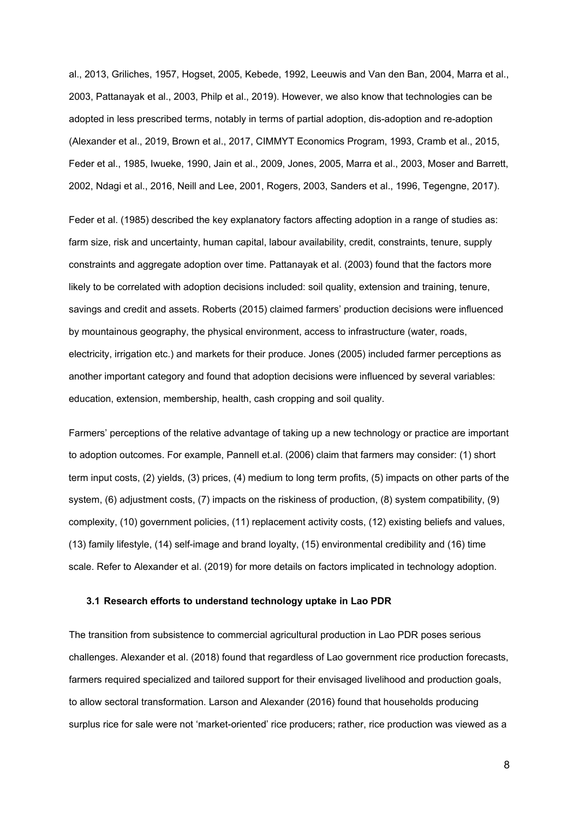al., 2013, Griliches, 1957, Hogset, 2005, Kebede, 1992, Leeuwis and Van den Ban, 2004, Marra et al., 2003, Pattanayak et al., 2003, Philp et al., 2019). However, we also know that technologies can be adopted in less prescribed terms, notably in terms of partial adoption, dis-adoption and re-adoption (Alexander et al., 2019, Brown et al., 2017, CIMMYT Economics Program, 1993, Cramb et al., 2015, Feder et al., 1985, Iwueke, 1990, Jain et al., 2009, Jones, 2005, Marra et al., 2003, Moser and Barrett, 2002, Ndagi et al., 2016, Neill and Lee, 2001, Rogers, 2003, Sanders et al., 1996, Tegengne, 2017).

Feder et al. (1985) described the key explanatory factors affecting adoption in a range of studies as: farm size, risk and uncertainty, human capital, labour availability, credit, constraints, tenure, supply constraints and aggregate adoption over time. Pattanayak et al. (2003) found that the factors more likely to be correlated with adoption decisions included: soil quality, extension and training, tenure, savings and credit and assets. Roberts (2015) claimed farmers' production decisions were influenced by mountainous geography, the physical environment, access to infrastructure (water, roads, electricity, irrigation etc.) and markets for their produce. Jones (2005) included farmer perceptions as another important category and found that adoption decisions were influenced by several variables: education, extension, membership, health, cash cropping and soil quality.

Farmers' perceptions of the relative advantage of taking up a new technology or practice are important to adoption outcomes. For example, Pannell et.al. (2006) claim that farmers may consider: (1) short term input costs, (2) yields, (3) prices, (4) medium to long term profits, (5) impacts on other parts of the system, (6) adjustment costs, (7) impacts on the riskiness of production, (8) system compatibility, (9) complexity, (10) government policies, (11) replacement activity costs, (12) existing beliefs and values, (13) family lifestyle, (14) self-image and brand loyalty, (15) environmental credibility and (16) time scale. Refer to Alexander et al. (2019) for more details on factors implicated in technology adoption.

#### **3.1 Research efforts to understand technology uptake in Lao PDR**

The transition from subsistence to commercial agricultural production in Lao PDR poses serious challenges. Alexander et al. (2018) found that regardless of Lao government rice production forecasts, farmers required specialized and tailored support for their envisaged livelihood and production goals, to allow sectoral transformation. Larson and Alexander (2016) found that households producing surplus rice for sale were not 'market-oriented' rice producers; rather, rice production was viewed as a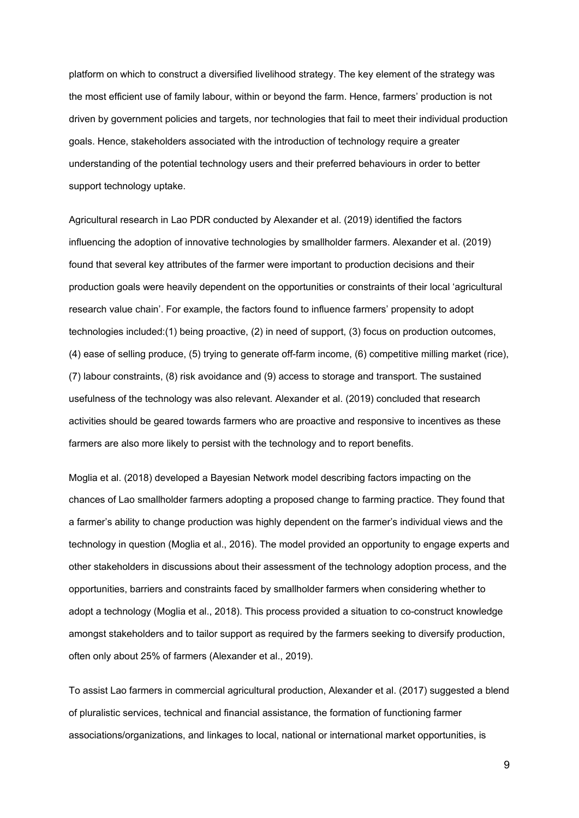platform on which to construct a diversified livelihood strategy. The key element of the strategy was the most efficient use of family labour, within or beyond the farm. Hence, farmers' production is not driven by government policies and targets, nor technologies that fail to meet their individual production goals. Hence, stakeholders associated with the introduction of technology require a greater understanding of the potential technology users and their preferred behaviours in order to better support technology uptake.

Agricultural research in Lao PDR conducted by Alexander et al. (2019) identified the factors influencing the adoption of innovative technologies by smallholder farmers. Alexander et al. (2019) found that several key attributes of the farmer were important to production decisions and their production goals were heavily dependent on the opportunities or constraints of their local 'agricultural research value chain'. For example, the factors found to influence farmers' propensity to adopt technologies included:(1) being proactive, (2) in need of support, (3) focus on production outcomes, (4) ease of selling produce, (5) trying to generate off-farm income, (6) competitive milling market (rice), (7) labour constraints, (8) risk avoidance and (9) access to storage and transport. The sustained usefulness of the technology was also relevant. Alexander et al. (2019) concluded that research activities should be geared towards farmers who are proactive and responsive to incentives as these farmers are also more likely to persist with the technology and to report benefits.

Moglia et al. (2018) developed a Bayesian Network model describing factors impacting on the chances of Lao smallholder farmers adopting a proposed change to farming practice. They found that a farmer's ability to change production was highly dependent on the farmer's individual views and the technology in question (Moglia et al., 2016). The model provided an opportunity to engage experts and other stakeholders in discussions about their assessment of the technology adoption process, and the opportunities, barriers and constraints faced by smallholder farmers when considering whether to adopt a technology (Moglia et al., 2018). This process provided a situation to co-construct knowledge amongst stakeholders and to tailor support as required by the farmers seeking to diversify production, often only about 25% of farmers (Alexander et al., 2019).

To assist Lao farmers in commercial agricultural production, Alexander et al. (2017) suggested a blend of pluralistic services, technical and financial assistance, the formation of functioning farmer associations/organizations, and linkages to local, national or international market opportunities, is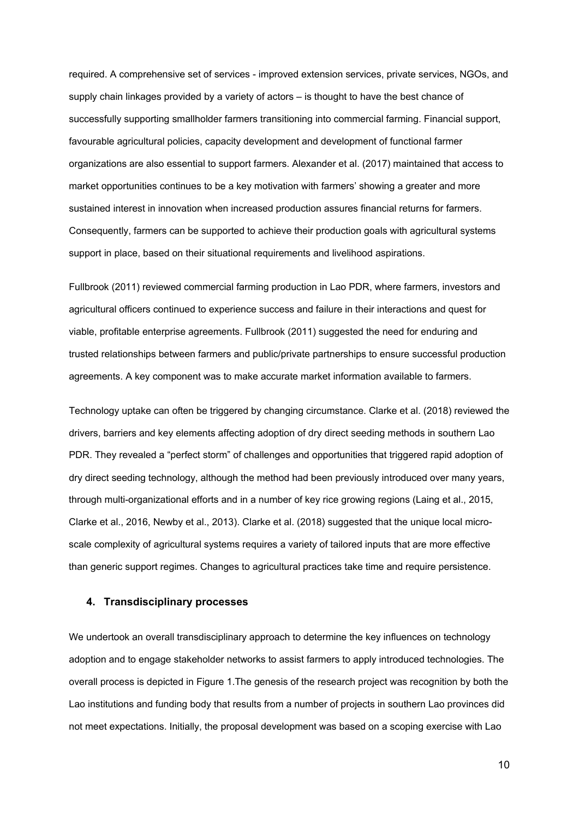required. A comprehensive set of services - improved extension services, private services, NGOs, and supply chain linkages provided by a variety of actors – is thought to have the best chance of successfully supporting smallholder farmers transitioning into commercial farming. Financial support, favourable agricultural policies, capacity development and development of functional farmer organizations are also essential to support farmers. Alexander et al. (2017) maintained that access to market opportunities continues to be a key motivation with farmers' showing a greater and more sustained interest in innovation when increased production assures financial returns for farmers. Consequently, farmers can be supported to achieve their production goals with agricultural systems support in place, based on their situational requirements and livelihood aspirations.

Fullbrook (2011) reviewed commercial farming production in Lao PDR, where farmers, investors and agricultural officers continued to experience success and failure in their interactions and quest for viable, profitable enterprise agreements. Fullbrook (2011) suggested the need for enduring and trusted relationships between farmers and public/private partnerships to ensure successful production agreements. A key component was to make accurate market information available to farmers.

Technology uptake can often be triggered by changing circumstance. Clarke et al. (2018) reviewed the drivers, barriers and key elements affecting adoption of dry direct seeding methods in southern Lao PDR. They revealed a "perfect storm" of challenges and opportunities that triggered rapid adoption of dry direct seeding technology, although the method had been previously introduced over many years, through multi-organizational efforts and in a number of key rice growing regions (Laing et al., 2015, Clarke et al., 2016, Newby et al., 2013). Clarke et al. (2018) suggested that the unique local microscale complexity of agricultural systems requires a variety of tailored inputs that are more effective than generic support regimes. Changes to agricultural practices take time and require persistence.

# **4. Transdisciplinary processes**

We undertook an overall transdisciplinary approach to determine the key influences on technology adoption and to engage stakeholder networks to assist farmers to apply introduced technologies. The overall process is depicted in Figure 1.The genesis of the research project was recognition by both the Lao institutions and funding body that results from a number of projects in southern Lao provinces did not meet expectations. Initially, the proposal development was based on a scoping exercise with Lao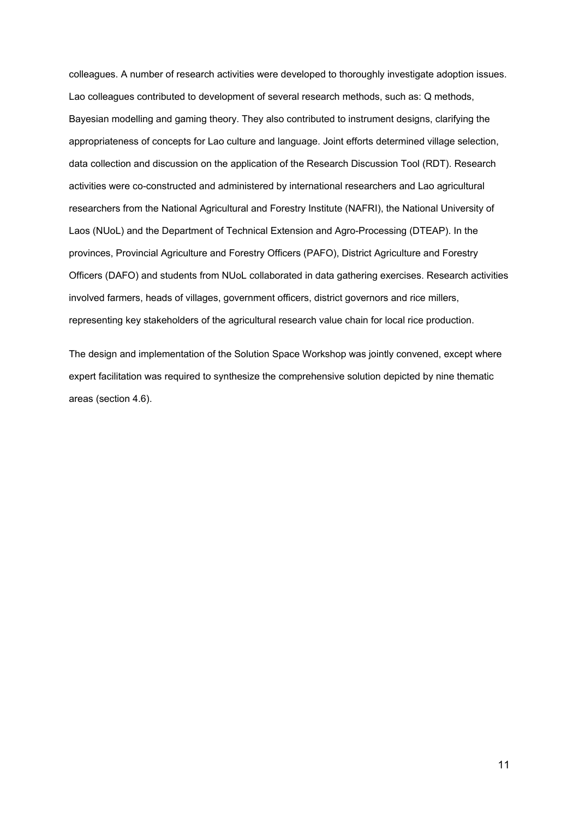colleagues. A number of research activities were developed to thoroughly investigate adoption issues. Lao colleagues contributed to development of several research methods, such as: Q methods, Bayesian modelling and gaming theory. They also contributed to instrument designs, clarifying the appropriateness of concepts for Lao culture and language. Joint efforts determined village selection, data collection and discussion on the application of the Research Discussion Tool (RDT). Research activities were co-constructed and administered by international researchers and Lao agricultural researchers from the National Agricultural and Forestry Institute (NAFRI), the National University of Laos (NUoL) and the Department of Technical Extension and Agro-Processing (DTEAP). In the provinces, Provincial Agriculture and Forestry Officers (PAFO), District Agriculture and Forestry Officers (DAFO) and students from NUoL collaborated in data gathering exercises. Research activities involved farmers, heads of villages, government officers, district governors and rice millers, representing key stakeholders of the agricultural research value chain for local rice production.

The design and implementation of the Solution Space Workshop was jointly convened, except where expert facilitation was required to synthesize the comprehensive solution depicted by nine thematic areas (section 4.6).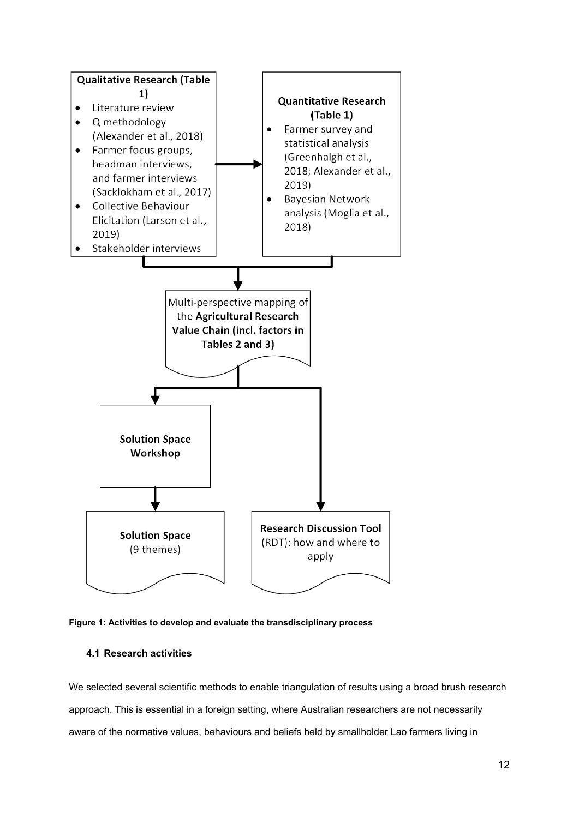

**Figure 1: Activities to develop and evaluate the transdisciplinary process**

# **4.1 Research activities**

We selected several scientific methods to enable triangulation of results using a broad brush research approach. This is essential in a foreign setting, where Australian researchers are not necessarily aware of the normative values, behaviours and beliefs held by smallholder Lao farmers living in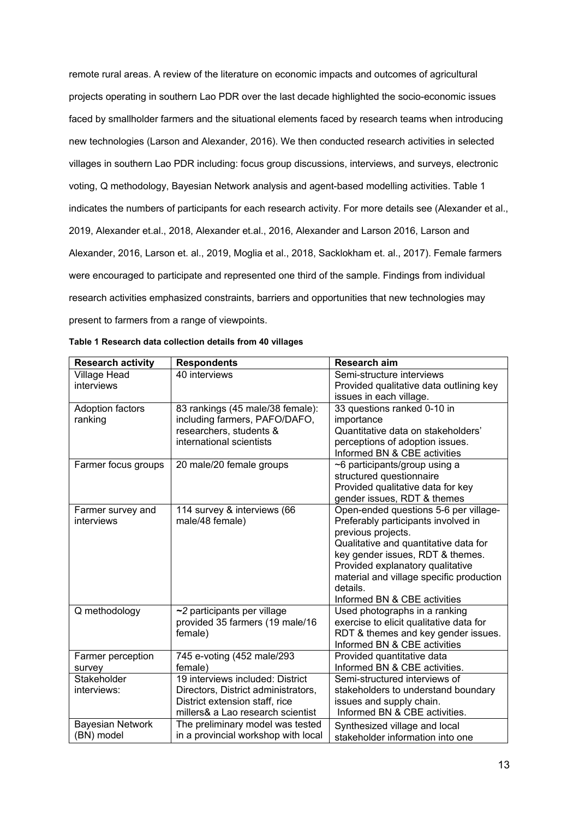remote rural areas. A review of the literature on economic impacts and outcomes of agricultural projects operating in southern Lao PDR over the last decade highlighted the socio-economic issues faced by smallholder farmers and the situational elements faced by research teams when introducing new technologies (Larson and Alexander, 2016). We then conducted research activities in selected villages in southern Lao PDR including: focus group discussions, interviews, and surveys, electronic voting, Q methodology, Bayesian Network analysis and agent-based modelling activities. Table 1 indicates the numbers of participants for each research activity. For more details see (Alexander et al., 2019, Alexander et.al., 2018, Alexander et.al., 2016, Alexander and Larson 2016, Larson and Alexander, 2016, Larson et. al., 2019, Moglia et al., 2018, Sacklokham et. al., 2017). Female farmers were encouraged to participate and represented one third of the sample. Findings from individual research activities emphasized constraints, barriers and opportunities that new technologies may present to farmers from a range of viewpoints.

| <b>Research activity</b> | <b>Respondents</b>                  | Research aim                             |
|--------------------------|-------------------------------------|------------------------------------------|
| <b>Village Head</b>      | 40 interviews                       | Semi-structure interviews                |
| interviews               |                                     | Provided qualitative data outlining key  |
|                          |                                     | issues in each village.                  |
| Adoption factors         | 83 rankings (45 male/38 female):    | 33 questions ranked 0-10 in              |
| ranking                  | including farmers, PAFO/DAFO,       | importance                               |
|                          | researchers, students &             | Quantitative data on stakeholders'       |
|                          | international scientists            | perceptions of adoption issues.          |
|                          |                                     | Informed BN & CBE activities             |
| Farmer focus groups      | 20 male/20 female groups            | ~6 participants/group using a            |
|                          |                                     | structured questionnaire                 |
|                          |                                     | Provided qualitative data for key        |
|                          |                                     | gender issues, RDT & themes              |
| Farmer survey and        | 114 survey & interviews (66         | Open-ended questions 5-6 per village-    |
| interviews               | male/48 female)                     | Preferably participants involved in      |
|                          |                                     | previous projects.                       |
|                          |                                     | Qualitative and quantitative data for    |
|                          |                                     | key gender issues, RDT & themes.         |
|                          |                                     | Provided explanatory qualitative         |
|                          |                                     | material and village specific production |
|                          |                                     | details.                                 |
|                          |                                     | Informed BN & CBE activities             |
| Q methodology            | $\sim$ 2 participants per village   | Used photographs in a ranking            |
|                          | provided 35 farmers (19 male/16     | exercise to elicit qualitative data for  |
|                          | female)                             | RDT & themes and key gender issues.      |
|                          |                                     | Informed BN & CBE activities             |
| Farmer perception        | 745 e-voting (452 male/293          | Provided quantitative data               |
| survey                   | female)                             | Informed BN & CBE activities.            |
| Stakeholder              | 19 interviews included: District    | Semi-structured interviews of            |
| interviews:              | Directors, District administrators, | stakeholders to understand boundary      |
|                          | District extension staff, rice      | issues and supply chain.                 |
|                          | millers& a Lao research scientist   | Informed BN & CBE activities.            |
| <b>Bayesian Network</b>  | The preliminary model was tested    | Synthesized village and local            |
| (BN) model               | in a provincial workshop with local | stakeholder information into one         |

|  |  |  |  | Table 1 Research data collection details from 40 villages |  |  |  |
|--|--|--|--|-----------------------------------------------------------|--|--|--|
|--|--|--|--|-----------------------------------------------------------|--|--|--|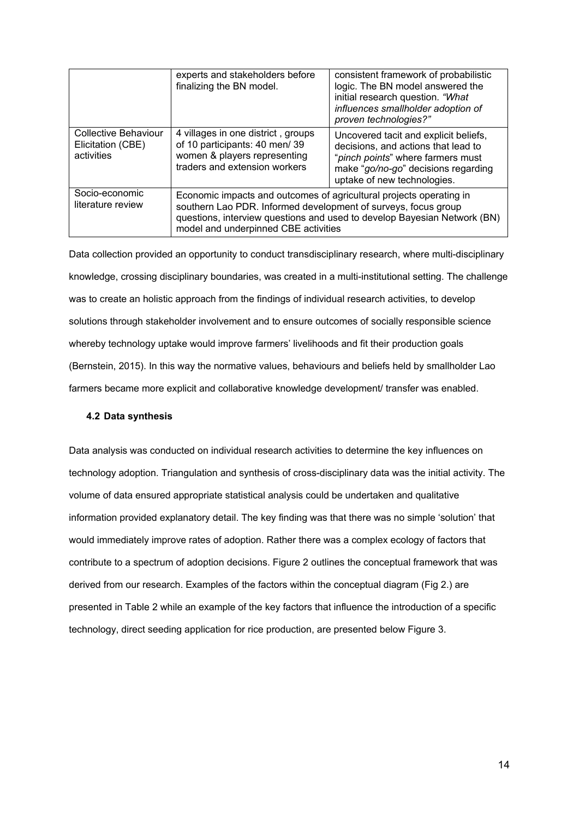|                                                         | experts and stakeholders before<br>finalizing the BN model.                                                                          | consistent framework of probabilistic<br>logic. The BN model answered the<br>initial research question. "What<br>influences smallholder adoption of<br>proven technologies?"                                      |  |  |  |
|---------------------------------------------------------|--------------------------------------------------------------------------------------------------------------------------------------|-------------------------------------------------------------------------------------------------------------------------------------------------------------------------------------------------------------------|--|--|--|
| Collective Behaviour<br>Elicitation (CBE)<br>activities | 4 villages in one district, groups<br>of 10 participants: 40 men/39<br>women & players representing<br>traders and extension workers | Uncovered tacit and explicit beliefs,<br>decisions, and actions that lead to<br>"pinch points" where farmers must<br>make "go/no-go" decisions regarding<br>uptake of new technologies.                           |  |  |  |
| Socio-economic<br>literature review                     | model and underpinned CBE activities                                                                                                 | Economic impacts and outcomes of agricultural projects operating in<br>southern Lao PDR. Informed development of surveys, focus group<br>questions, interview questions and used to develop Bayesian Network (BN) |  |  |  |

Data collection provided an opportunity to conduct transdisciplinary research, where multi-disciplinary knowledge, crossing disciplinary boundaries, was created in a multi-institutional setting. The challenge was to create an holistic approach from the findings of individual research activities, to develop solutions through stakeholder involvement and to ensure outcomes of socially responsible science whereby technology uptake would improve farmers' livelihoods and fit their production goals (Bernstein, 2015). In this way the normative values, behaviours and beliefs held by smallholder Lao farmers became more explicit and collaborative knowledge development/ transfer was enabled.

#### **4.2 Data synthesis**

Data analysis was conducted on individual research activities to determine the key influences on technology adoption. Triangulation and synthesis of cross-disciplinary data was the initial activity. The volume of data ensured appropriate statistical analysis could be undertaken and qualitative information provided explanatory detail. The key finding was that there was no simple 'solution' that would immediately improve rates of adoption. Rather there was a complex ecology of factors that contribute to a spectrum of adoption decisions. Figure 2 outlines the conceptual framework that was derived from our research. Examples of the factors within the conceptual diagram (Fig 2.) are presented in Table 2 while an example of the key factors that influence the introduction of a specific technology, direct seeding application for rice production, are presented below Figure 3.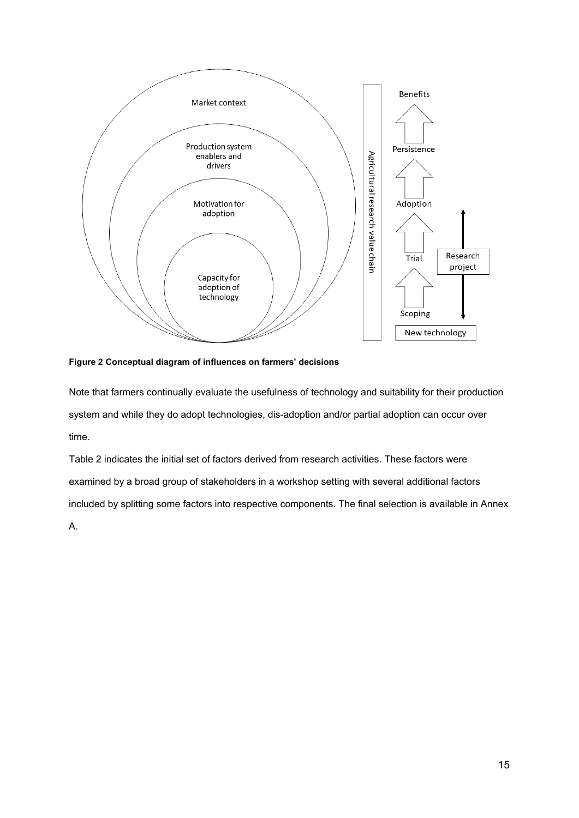

**Figure 2 Conceptual diagram of influences on farmers' decisions**

Note that farmers continually evaluate the usefulness of technology and suitability for their production system and while they do adopt technologies, dis-adoption and/or partial adoption can occur over time.

Table 2 indicates the initial set of factors derived from research activities. These factors were examined by a broad group of stakeholders in a workshop setting with several additional factors included by splitting some factors into respective components. The final selection is available in Annex A.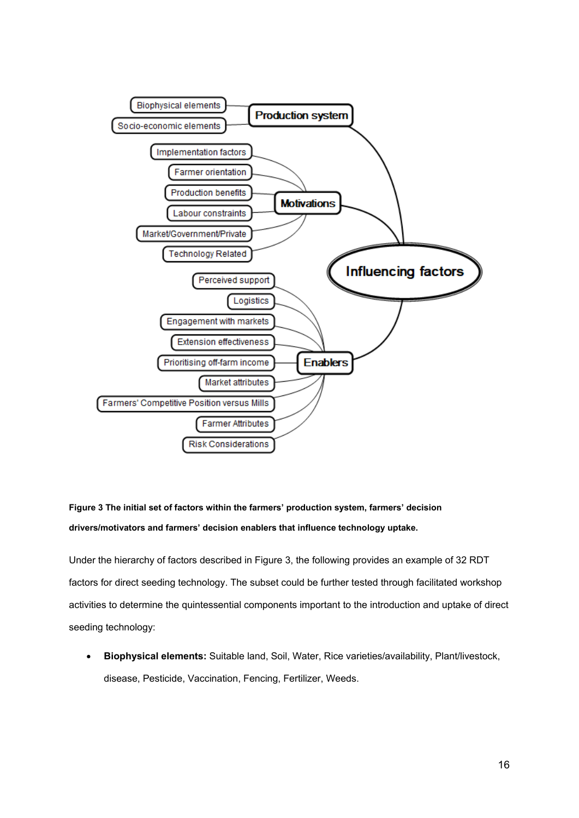

# **Figure 3 The initial set of factors within the farmers' production system, farmers' decision drivers/motivators and farmers' decision enablers that influence technology uptake.**

Under the hierarchy of factors described in Figure 3, the following provides an example of 32 RDT factors for direct seeding technology. The subset could be further tested through facilitated workshop activities to determine the quintessential components important to the introduction and uptake of direct seeding technology:

• **Biophysical elements:** Suitable land, Soil, Water, Rice varieties/availability, Plant/livestock, disease, Pesticide, Vaccination, Fencing, Fertilizer, Weeds.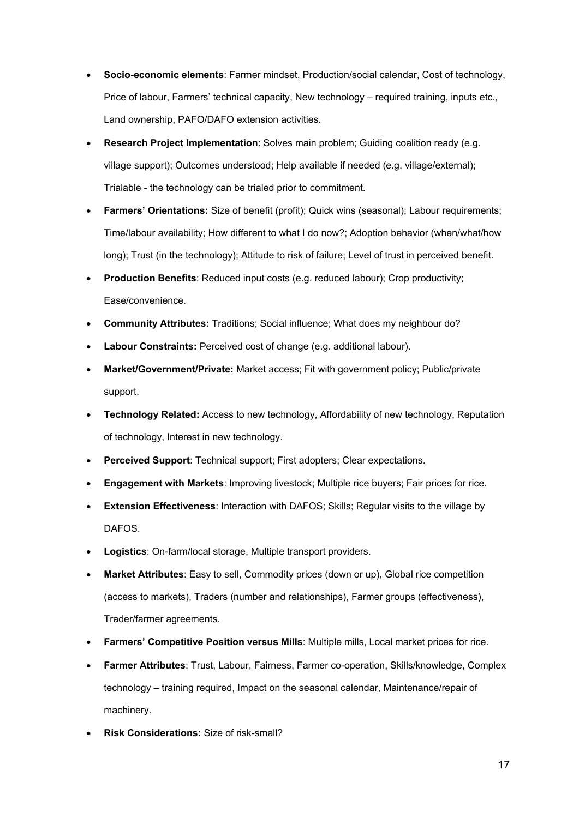- **Socio-economic elements**: Farmer mindset, Production/social calendar, Cost of technology, Price of labour, Farmers' technical capacity, New technology – required training, inputs etc., Land ownership, PAFO/DAFO extension activities.
- **Research Project Implementation**: Solves main problem; Guiding coalition ready (e.g. village support); Outcomes understood; Help available if needed (e.g. village/external); Trialable - the technology can be trialed prior to commitment.
- **Farmers' Orientations:** Size of benefit (profit); Quick wins (seasonal); Labour requirements; Time/labour availability; How different to what I do now?; Adoption behavior (when/what/how long); Trust (in the technology); Attitude to risk of failure; Level of trust in perceived benefit.
- **Production Benefits**: Reduced input costs (e.g. reduced labour); Crop productivity; Ease/convenience.
- **Community Attributes:** Traditions; Social influence; What does my neighbour do?
- **Labour Constraints:** Perceived cost of change (e.g. additional labour).
- **Market/Government/Private:** Market access; Fit with government policy; Public/private support.
- **Technology Related:** Access to new technology, Affordability of new technology, Reputation of technology, Interest in new technology.
- **Perceived Support**: Technical support; First adopters; Clear expectations.
- **Engagement with Markets**: Improving livestock; Multiple rice buyers; Fair prices for rice.
- **Extension Effectiveness**: Interaction with DAFOS; Skills; Regular visits to the village by DAFOS.
- **Logistics**: On-farm/local storage, Multiple transport providers.
- **Market Attributes**: Easy to sell, Commodity prices (down or up), Global rice competition (access to markets), Traders (number and relationships), Farmer groups (effectiveness), Trader/farmer agreements.
- **Farmers' Competitive Position versus Mills**: Multiple mills, Local market prices for rice.
- **Farmer Attributes**: Trust, Labour, Fairness, Farmer co-operation, Skills/knowledge, Complex technology – training required, Impact on the seasonal calendar, Maintenance/repair of machinery.
- **Risk Considerations:** Size of risk-small?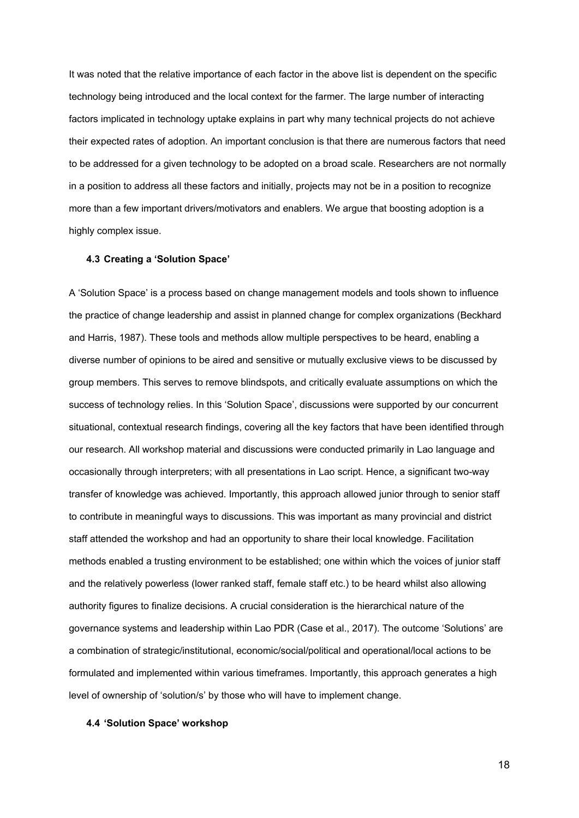It was noted that the relative importance of each factor in the above list is dependent on the specific technology being introduced and the local context for the farmer. The large number of interacting factors implicated in technology uptake explains in part why many technical projects do not achieve their expected rates of adoption. An important conclusion is that there are numerous factors that need to be addressed for a given technology to be adopted on a broad scale. Researchers are not normally in a position to address all these factors and initially, projects may not be in a position to recognize more than a few important drivers/motivators and enablers. We argue that boosting adoption is a highly complex issue.

#### **4.3 Creating a 'Solution Space'**

A 'Solution Space' is a process based on change management models and tools shown to influence the practice of change leadership and assist in planned change for complex organizations (Beckhard and Harris, 1987). These tools and methods allow multiple perspectives to be heard, enabling a diverse number of opinions to be aired and sensitive or mutually exclusive views to be discussed by group members. This serves to remove blindspots, and critically evaluate assumptions on which the success of technology relies. In this 'Solution Space', discussions were supported by our concurrent situational, contextual research findings, covering all the key factors that have been identified through our research. All workshop material and discussions were conducted primarily in Lao language and occasionally through interpreters; with all presentations in Lao script. Hence, a significant two-way transfer of knowledge was achieved. Importantly, this approach allowed junior through to senior staff to contribute in meaningful ways to discussions. This was important as many provincial and district staff attended the workshop and had an opportunity to share their local knowledge. Facilitation methods enabled a trusting environment to be established; one within which the voices of junior staff and the relatively powerless (lower ranked staff, female staff etc.) to be heard whilst also allowing authority figures to finalize decisions. A crucial consideration is the hierarchical nature of the governance systems and leadership within Lao PDR (Case et al., 2017). The outcome 'Solutions' are a combination of strategic/institutional, economic/social/political and operational/local actions to be formulated and implemented within various timeframes. Importantly, this approach generates a high level of ownership of 'solution/s' by those who will have to implement change.

#### **4.4 'Solution Space' workshop**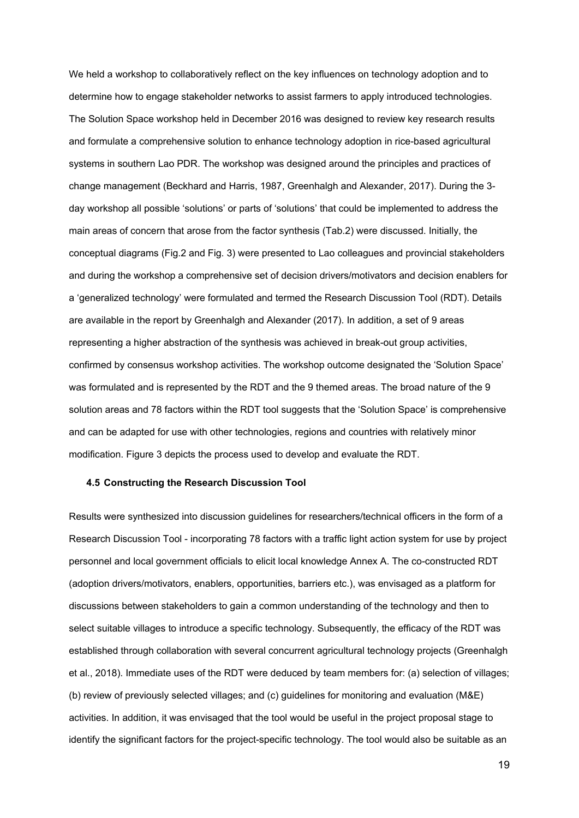We held a workshop to collaboratively reflect on the key influences on technology adoption and to determine how to engage stakeholder networks to assist farmers to apply introduced technologies. The Solution Space workshop held in December 2016 was designed to review key research results and formulate a comprehensive solution to enhance technology adoption in rice-based agricultural systems in southern Lao PDR. The workshop was designed around the principles and practices of change management (Beckhard and Harris, 1987, Greenhalgh and Alexander, 2017). During the 3 day workshop all possible 'solutions' or parts of 'solutions' that could be implemented to address the main areas of concern that arose from the factor synthesis (Tab.2) were discussed. Initially, the conceptual diagrams (Fig.2 and Fig. 3) were presented to Lao colleagues and provincial stakeholders and during the workshop a comprehensive set of decision drivers/motivators and decision enablers for a 'generalized technology' were formulated and termed the Research Discussion Tool (RDT). Details are available in the report by Greenhalgh and Alexander (2017). In addition, a set of 9 areas representing a higher abstraction of the synthesis was achieved in break-out group activities, confirmed by consensus workshop activities. The workshop outcome designated the 'Solution Space' was formulated and is represented by the RDT and the 9 themed areas. The broad nature of the 9 solution areas and 78 factors within the RDT tool suggests that the 'Solution Space' is comprehensive and can be adapted for use with other technologies, regions and countries with relatively minor modification. Figure 3 depicts the process used to develop and evaluate the RDT.

#### **4.5 Constructing the Research Discussion Tool**

Results were synthesized into discussion guidelines for researchers/technical officers in the form of a Research Discussion Tool - incorporating 78 factors with a traffic light action system for use by project personnel and local government officials to elicit local knowledge Annex A. The co-constructed RDT (adoption drivers/motivators, enablers, opportunities, barriers etc.), was envisaged as a platform for discussions between stakeholders to gain a common understanding of the technology and then to select suitable villages to introduce a specific technology. Subsequently, the efficacy of the RDT was established through collaboration with several concurrent agricultural technology projects (Greenhalgh et al., 2018). Immediate uses of the RDT were deduced by team members for: (a) selection of villages; (b) review of previously selected villages; and (c) guidelines for monitoring and evaluation (M&E) activities. In addition, it was envisaged that the tool would be useful in the project proposal stage to identify the significant factors for the project-specific technology. The tool would also be suitable as an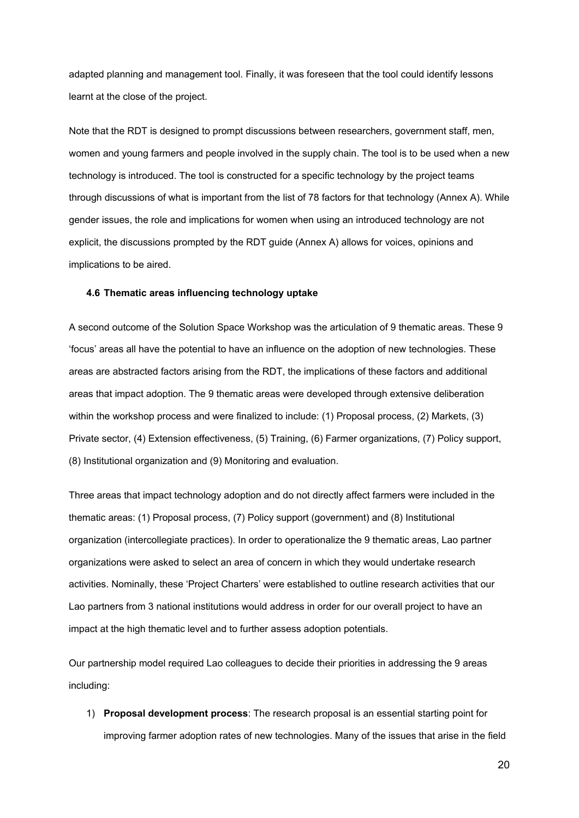adapted planning and management tool. Finally, it was foreseen that the tool could identify lessons learnt at the close of the project.

Note that the RDT is designed to prompt discussions between researchers, government staff, men, women and young farmers and people involved in the supply chain. The tool is to be used when a new technology is introduced. The tool is constructed for a specific technology by the project teams through discussions of what is important from the list of 78 factors for that technology (Annex A). While gender issues, the role and implications for women when using an introduced technology are not explicit, the discussions prompted by the RDT guide (Annex A) allows for voices, opinions and implications to be aired.

### **4.6 Thematic areas influencing technology uptake**

A second outcome of the Solution Space Workshop was the articulation of 9 thematic areas. These 9 'focus' areas all have the potential to have an influence on the adoption of new technologies. These areas are abstracted factors arising from the RDT, the implications of these factors and additional areas that impact adoption. The 9 thematic areas were developed through extensive deliberation within the workshop process and were finalized to include: (1) Proposal process, (2) Markets, (3) Private sector, (4) Extension effectiveness, (5) Training, (6) Farmer organizations, (7) Policy support, (8) Institutional organization and (9) Monitoring and evaluation.

Three areas that impact technology adoption and do not directly affect farmers were included in the thematic areas: (1) Proposal process, (7) Policy support (government) and (8) Institutional organization (intercollegiate practices). In order to operationalize the 9 thematic areas, Lao partner organizations were asked to select an area of concern in which they would undertake research activities. Nominally, these 'Project Charters' were established to outline research activities that our Lao partners from 3 national institutions would address in order for our overall project to have an impact at the high thematic level and to further assess adoption potentials.

Our partnership model required Lao colleagues to decide their priorities in addressing the 9 areas including:

1) **Proposal development process**: The research proposal is an essential starting point for improving farmer adoption rates of new technologies. Many of the issues that arise in the field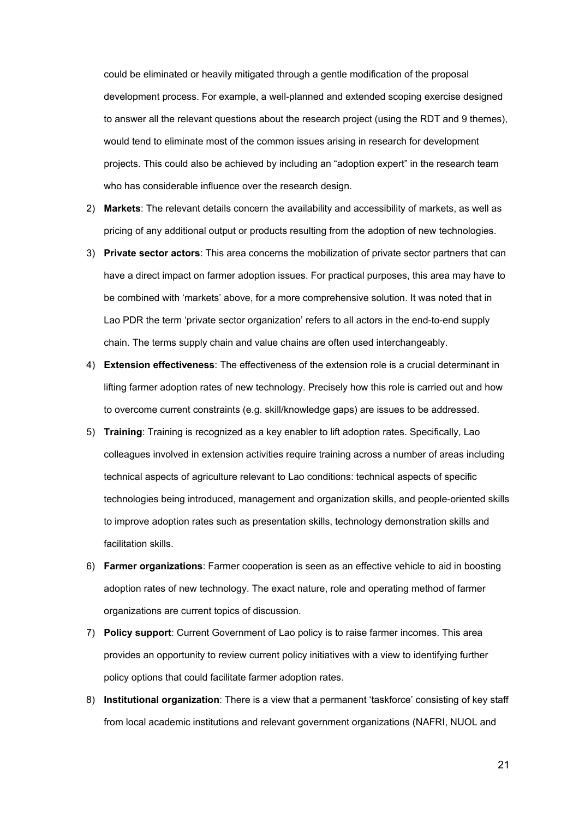could be eliminated or heavily mitigated through a gentle modification of the proposal development process. For example, a well-planned and extended scoping exercise designed to answer all the relevant questions about the research project (using the RDT and 9 themes), would tend to eliminate most of the common issues arising in research for development projects. This could also be achieved by including an "adoption expert" in the research team who has considerable influence over the research design.

- 2) **Markets**: The relevant details concern the availability and accessibility of markets, as well as pricing of any additional output or products resulting from the adoption of new technologies.
- 3) **Private sector actors**: This area concerns the mobilization of private sector partners that can have a direct impact on farmer adoption issues. For practical purposes, this area may have to be combined with 'markets' above, for a more comprehensive solution. It was noted that in Lao PDR the term 'private sector organization' refers to all actors in the end-to-end supply chain. The terms supply chain and value chains are often used interchangeably.
- 4) **Extension effectiveness**: The effectiveness of the extension role is a crucial determinant in lifting farmer adoption rates of new technology. Precisely how this role is carried out and how to overcome current constraints (e.g. skill/knowledge gaps) are issues to be addressed.
- 5) **Training**: Training is recognized as a key enabler to lift adoption rates. Specifically, Lao colleagues involved in extension activities require training across a number of areas including technical aspects of agriculture relevant to Lao conditions: technical aspects of specific technologies being introduced, management and organization skills, and people-oriented skills to improve adoption rates such as presentation skills, technology demonstration skills and facilitation skills.
- 6) **Farmer organizations**: Farmer cooperation is seen as an effective vehicle to aid in boosting adoption rates of new technology. The exact nature, role and operating method of farmer organizations are current topics of discussion.
- 7) **Policy support**: Current Government of Lao policy is to raise farmer incomes. This area provides an opportunity to review current policy initiatives with a view to identifying further policy options that could facilitate farmer adoption rates.
- 8) **Institutional organization**: There is a view that a permanent 'taskforce' consisting of key staff from local academic institutions and relevant government organizations (NAFRI, NUOL and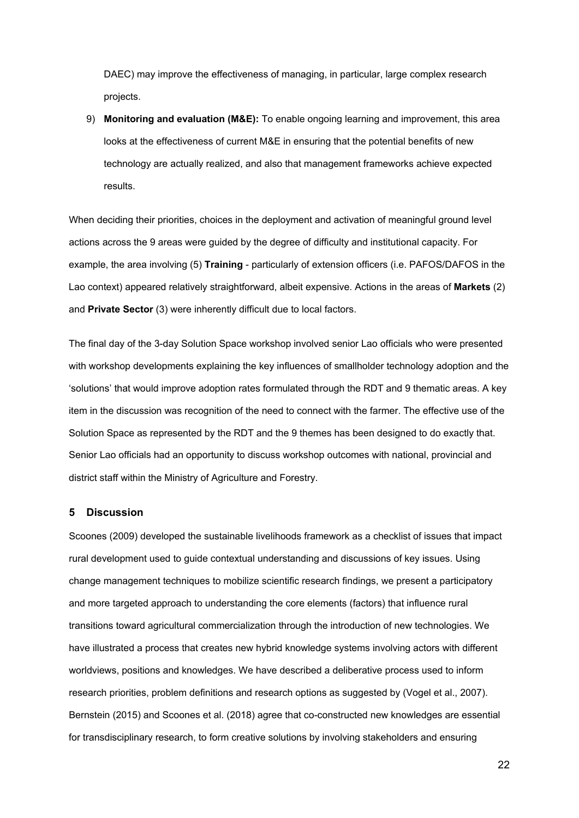DAEC) may improve the effectiveness of managing, in particular, large complex research projects.

9) **Monitoring and evaluation (M&E):** To enable ongoing learning and improvement, this area looks at the effectiveness of current M&E in ensuring that the potential benefits of new technology are actually realized, and also that management frameworks achieve expected results.

When deciding their priorities, choices in the deployment and activation of meaningful ground level actions across the 9 areas were guided by the degree of difficulty and institutional capacity. For example, the area involving (5) **Training** - particularly of extension officers (i.e. PAFOS/DAFOS in the Lao context) appeared relatively straightforward, albeit expensive. Actions in the areas of **Markets** (2) and **Private Sector** (3) were inherently difficult due to local factors.

The final day of the 3-day Solution Space workshop involved senior Lao officials who were presented with workshop developments explaining the key influences of smallholder technology adoption and the 'solutions' that would improve adoption rates formulated through the RDT and 9 thematic areas. A key item in the discussion was recognition of the need to connect with the farmer. The effective use of the Solution Space as represented by the RDT and the 9 themes has been designed to do exactly that. Senior Lao officials had an opportunity to discuss workshop outcomes with national, provincial and district staff within the Ministry of Agriculture and Forestry.

### **5 Discussion**

Scoones (2009) developed the sustainable livelihoods framework as a checklist of issues that impact rural development used to guide contextual understanding and discussions of key issues. Using change management techniques to mobilize scientific research findings, we present a participatory and more targeted approach to understanding the core elements (factors) that influence rural transitions toward agricultural commercialization through the introduction of new technologies. We have illustrated a process that creates new hybrid knowledge systems involving actors with different worldviews, positions and knowledges. We have described a deliberative process used to inform research priorities, problem definitions and research options as suggested by (Vogel et al., 2007). Bernstein (2015) and Scoones et al. (2018) agree that co-constructed new knowledges are essential for transdisciplinary research, to form creative solutions by involving stakeholders and ensuring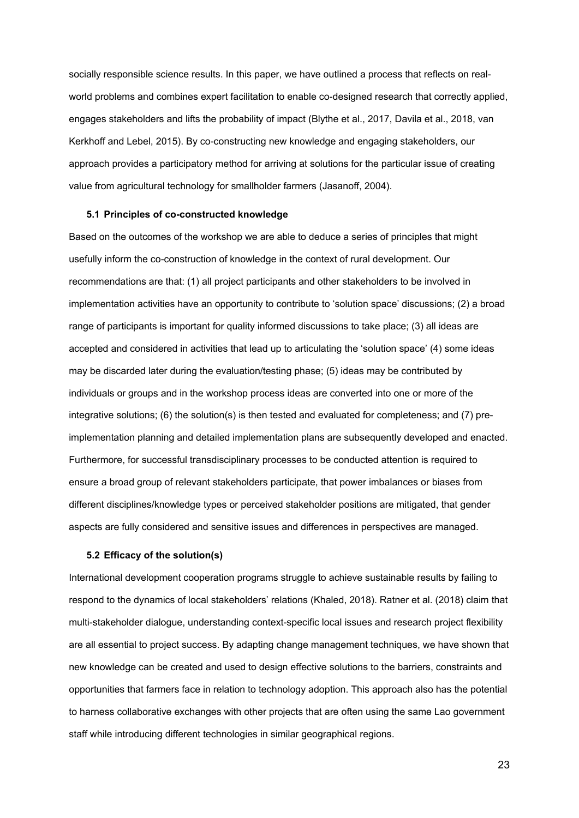socially responsible science results. In this paper, we have outlined a process that reflects on realworld problems and combines expert facilitation to enable co-designed research that correctly applied, engages stakeholders and lifts the probability of impact (Blythe et al., 2017, Davila et al., 2018, van Kerkhoff and Lebel, 2015). By co-constructing new knowledge and engaging stakeholders, our approach provides a participatory method for arriving at solutions for the particular issue of creating value from agricultural technology for smallholder farmers (Jasanoff, 2004).

#### **5.1 Principles of co-constructed knowledge**

Based on the outcomes of the workshop we are able to deduce a series of principles that might usefully inform the co-construction of knowledge in the context of rural development. Our recommendations are that: (1) all project participants and other stakeholders to be involved in implementation activities have an opportunity to contribute to 'solution space' discussions; (2) a broad range of participants is important for quality informed discussions to take place; (3) all ideas are accepted and considered in activities that lead up to articulating the 'solution space' (4) some ideas may be discarded later during the evaluation/testing phase; (5) ideas may be contributed by individuals or groups and in the workshop process ideas are converted into one or more of the integrative solutions; (6) the solution(s) is then tested and evaluated for completeness; and (7) preimplementation planning and detailed implementation plans are subsequently developed and enacted. Furthermore, for successful transdisciplinary processes to be conducted attention is required to ensure a broad group of relevant stakeholders participate, that power imbalances or biases from different disciplines/knowledge types or perceived stakeholder positions are mitigated, that gender aspects are fully considered and sensitive issues and differences in perspectives are managed.

#### **5.2 Efficacy of the solution(s)**

International development cooperation programs struggle to achieve sustainable results by failing to respond to the dynamics of local stakeholders' relations (Khaled, 2018). Ratner et al. (2018) claim that multi-stakeholder dialogue, understanding context-specific local issues and research project flexibility are all essential to project success. By adapting change management techniques, we have shown that new knowledge can be created and used to design effective solutions to the barriers, constraints and opportunities that farmers face in relation to technology adoption. This approach also has the potential to harness collaborative exchanges with other projects that are often using the same Lao government staff while introducing different technologies in similar geographical regions.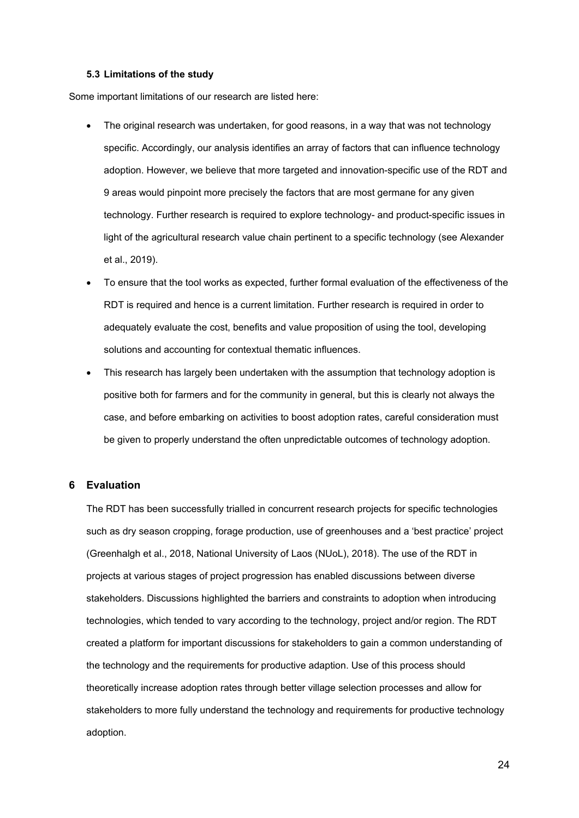#### **5.3 Limitations of the study**

Some important limitations of our research are listed here:

- The original research was undertaken, for good reasons, in a way that was not technology specific. Accordingly, our analysis identifies an array of factors that can influence technology adoption. However, we believe that more targeted and innovation-specific use of the RDT and 9 areas would pinpoint more precisely the factors that are most germane for any given technology. Further research is required to explore technology- and product-specific issues in light of the agricultural research value chain pertinent to a specific technology (see Alexander et al., 2019).
- To ensure that the tool works as expected, further formal evaluation of the effectiveness of the RDT is required and hence is a current limitation. Further research is required in order to adequately evaluate the cost, benefits and value proposition of using the tool, developing solutions and accounting for contextual thematic influences.
- This research has largely been undertaken with the assumption that technology adoption is positive both for farmers and for the community in general, but this is clearly not always the case, and before embarking on activities to boost adoption rates, careful consideration must be given to properly understand the often unpredictable outcomes of technology adoption.

# **6 Evaluation**

The RDT has been successfully trialled in concurrent research projects for specific technologies such as dry season cropping, forage production, use of greenhouses and a 'best practice' project (Greenhalgh et al., 2018, National University of Laos (NUoL), 2018). The use of the RDT in projects at various stages of project progression has enabled discussions between diverse stakeholders. Discussions highlighted the barriers and constraints to adoption when introducing technologies, which tended to vary according to the technology, project and/or region. The RDT created a platform for important discussions for stakeholders to gain a common understanding of the technology and the requirements for productive adaption. Use of this process should theoretically increase adoption rates through better village selection processes and allow for stakeholders to more fully understand the technology and requirements for productive technology adoption.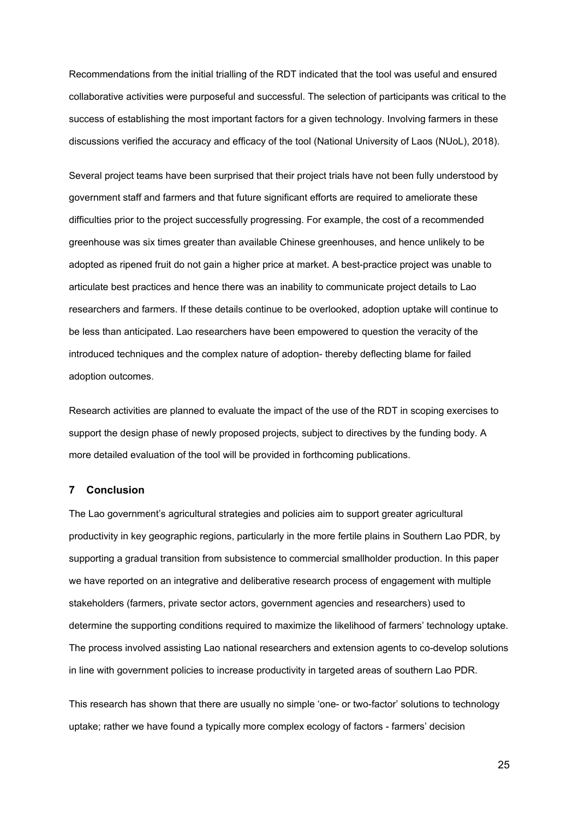Recommendations from the initial trialling of the RDT indicated that the tool was useful and ensured collaborative activities were purposeful and successful. The selection of participants was critical to the success of establishing the most important factors for a given technology. Involving farmers in these discussions verified the accuracy and efficacy of the tool (National University of Laos (NUoL), 2018).

Several project teams have been surprised that their project trials have not been fully understood by government staff and farmers and that future significant efforts are required to ameliorate these difficulties prior to the project successfully progressing. For example, the cost of a recommended greenhouse was six times greater than available Chinese greenhouses, and hence unlikely to be adopted as ripened fruit do not gain a higher price at market. A best-practice project was unable to articulate best practices and hence there was an inability to communicate project details to Lao researchers and farmers. If these details continue to be overlooked, adoption uptake will continue to be less than anticipated. Lao researchers have been empowered to question the veracity of the introduced techniques and the complex nature of adoption- thereby deflecting blame for failed adoption outcomes.

Research activities are planned to evaluate the impact of the use of the RDT in scoping exercises to support the design phase of newly proposed projects, subject to directives by the funding body. A more detailed evaluation of the tool will be provided in forthcoming publications.

# **7 Conclusion**

The Lao government's agricultural strategies and policies aim to support greater agricultural productivity in key geographic regions, particularly in the more fertile plains in Southern Lao PDR, by supporting a gradual transition from subsistence to commercial smallholder production. In this paper we have reported on an integrative and deliberative research process of engagement with multiple stakeholders (farmers, private sector actors, government agencies and researchers) used to determine the supporting conditions required to maximize the likelihood of farmers' technology uptake. The process involved assisting Lao national researchers and extension agents to co-develop solutions in line with government policies to increase productivity in targeted areas of southern Lao PDR.

This research has shown that there are usually no simple 'one- or two-factor' solutions to technology uptake; rather we have found a typically more complex ecology of factors - farmers' decision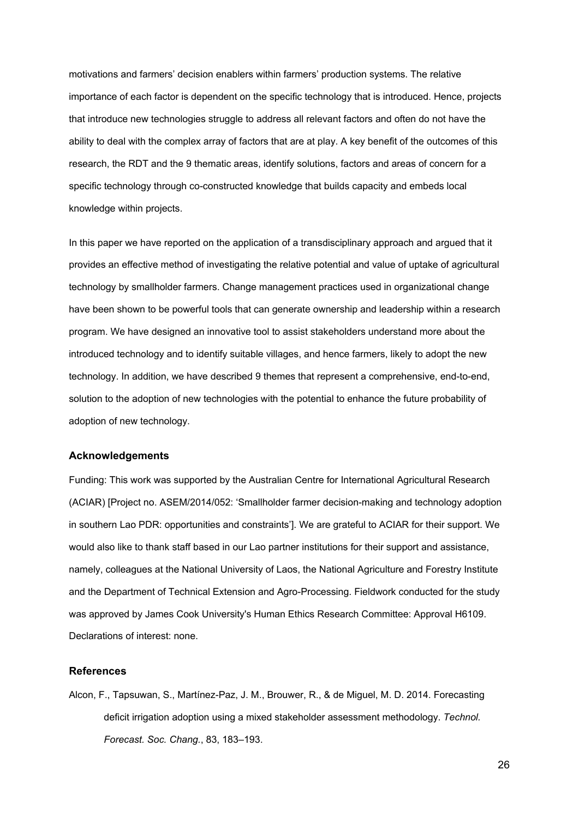motivations and farmers' decision enablers within farmers' production systems. The relative importance of each factor is dependent on the specific technology that is introduced. Hence, projects that introduce new technologies struggle to address all relevant factors and often do not have the ability to deal with the complex array of factors that are at play. A key benefit of the outcomes of this research, the RDT and the 9 thematic areas, identify solutions, factors and areas of concern for a specific technology through co-constructed knowledge that builds capacity and embeds local knowledge within projects.

In this paper we have reported on the application of a transdisciplinary approach and argued that it provides an effective method of investigating the relative potential and value of uptake of agricultural technology by smallholder farmers. Change management practices used in organizational change have been shown to be powerful tools that can generate ownership and leadership within a research program. We have designed an innovative tool to assist stakeholders understand more about the introduced technology and to identify suitable villages, and hence farmers, likely to adopt the new technology. In addition, we have described 9 themes that represent a comprehensive, end-to-end, solution to the adoption of new technologies with the potential to enhance the future probability of adoption of new technology.

#### **Acknowledgements**

Funding: This work was supported by the Australian Centre for International Agricultural Research (ACIAR) [Project no. ASEM/2014/052: 'Smallholder farmer decision-making and technology adoption in southern Lao PDR: opportunities and constraints']. We are grateful to ACIAR for their support. We would also like to thank staff based in our Lao partner institutions for their support and assistance, namely, colleagues at the National University of Laos, the National Agriculture and Forestry Institute and the Department of Technical Extension and Agro-Processing. Fieldwork conducted for the study was approved by James Cook University's Human Ethics Research Committee: Approval H6109. Declarations of interest: none.

#### **References**

Alcon, F., Tapsuwan, S., Martínez-Paz, J. M., Brouwer, R., & de Miguel, M. D. 2014. Forecasting deficit irrigation adoption using a mixed stakeholder assessment methodology. *Technol. Forecast. Soc. Chang.*, 83, 183–193.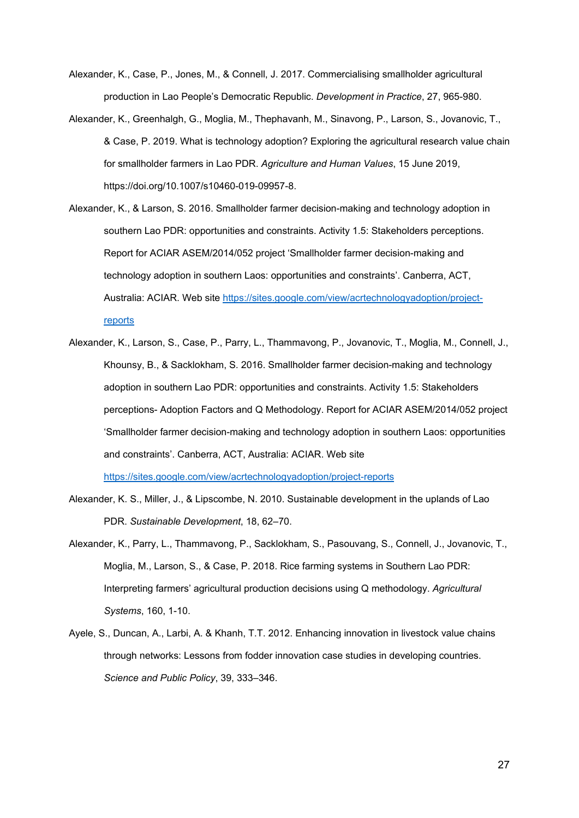- Alexander, K., Case, P., Jones, M., & Connell, J. 2017. Commercialising smallholder agricultural production in Lao People's Democratic Republic. *Development in Practice*, 27, 965-980.
- Alexander, K., Greenhalgh, G., Moglia, M., Thephavanh, M., Sinavong, P., Larson, S., Jovanovic, T., & Case, P. 2019. What is technology adoption? Exploring the agricultural research value chain for smallholder farmers in Lao PDR. *Agriculture and Human Values*, 15 June 2019, [https://doi.org/10.1007/s10460-019-09957-8.](https://doi.org/10.1007/s10460-019-09957-8)
- Alexander, K., & Larson, S. 2016. Smallholder farmer decision-making and technology adoption in southern Lao PDR: opportunities and constraints. Activity 1.5: Stakeholders perceptions. Report for ACIAR ASEM/2014/052 project 'Smallholder farmer decision-making and technology adoption in southern Laos: opportunities and constraints'. Canberra, ACT, Australia: ACIAR. Web site https://sites.google.com/view/acrtechnologyadoption/projectreports
- Alexander, K., Larson, S., Case, P., Parry, L., Thammavong, P., Jovanovic, T., Moglia, M., Connell, J., Khounsy, B., & Sacklokham, S. 2016. Smallholder farmer decision-making and technology adoption in southern Lao PDR: opportunities and constraints. Activity 1.5: Stakeholders perceptions- Adoption Factors and Q Methodology. Report for ACIAR ASEM/2014/052 project 'Smallholder farmer decision-making and technology adoption in southern Laos: opportunities and constraints'. Canberra, ACT, Australia: ACIAR. Web site https://sites.google.com/view/acrtechnologyadoption/project-reports
- Alexander, K. S., Miller, J., & Lipscombe, N. 2010. Sustainable development in the uplands of Lao PDR. *Sustainable Development*, 18, 62–70.
- Alexander, K., Parry, L., Thammavong, P., Sacklokham, S., Pasouvang, S., Connell, J., Jovanovic, T., Moglia, M., Larson, S., & Case, P. 2018. Rice farming systems in Southern Lao PDR: Interpreting farmers' agricultural production decisions using Q methodology. *Agricultural Systems*, 160, 1-10.
- Ayele, S., Duncan, A., Larbi, A. & Khanh, T.T. 2012. Enhancing innovation in livestock value chains through networks: Lessons from fodder innovation case studies in developing countries. *Science and Public Policy*, 39, 333–346.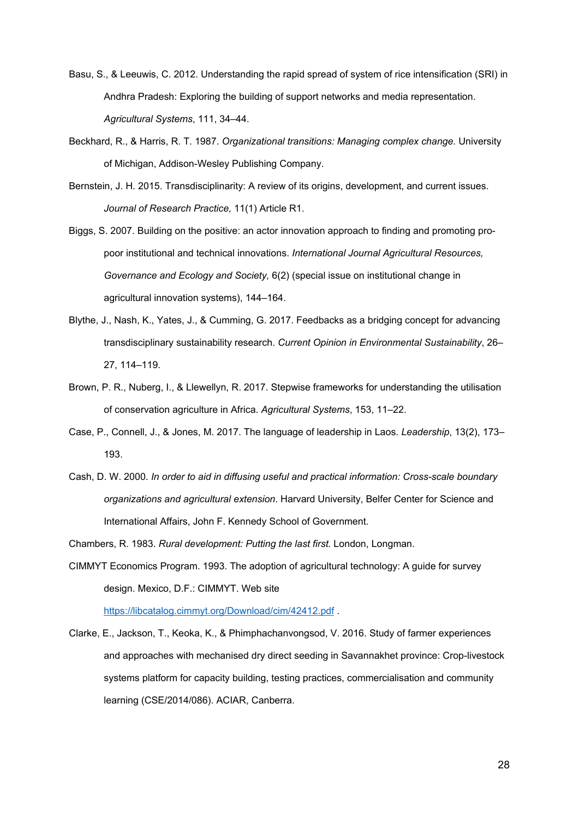- Basu, S., & Leeuwis, C. 2012. Understanding the rapid spread of system of rice intensification (SRI) in Andhra Pradesh: Exploring the building of support networks and media representation. *Agricultural Systems*, 111, 34–44.
- Beckhard, R., & Harris, R. T. 1987. *Organizational transitions: Managing complex change.* University of Michigan, Addison-Wesley Publishing Company.
- Bernstein, J. H. 2015. Transdisciplinarity: A review of its origins, development, and current issues. *Journal of Research Practice,* 11(1) Article R1.
- Biggs, S. 2007. Building on the positive: an actor innovation approach to finding and promoting propoor institutional and technical innovations. *International Journal Agricultural Resources, Governance and Ecology and Society,* 6(2) (special issue on institutional change in agricultural innovation systems), 144–164.
- Blythe, J., Nash, K., Yates, J., & Cumming, G. 2017. Feedbacks as a bridging concept for advancing transdisciplinary sustainability research. *Current Opinion in Environmental Sustainability*, 26– 27, 114–119*.*
- Brown, P. R., Nuberg, I., & Llewellyn, R. 2017. Stepwise frameworks for understanding the utilisation of conservation agriculture in Africa. *Agricultural Systems*, 153, 11–22.
- Case, P., Connell, J., & Jones, M. 2017. The language of leadership in Laos. *Leadership*, 13(2), 173– 193.
- Cash, D. W. 2000. *In order to aid in diffusing useful and practical information: Cross-scale boundary organizations and agricultural extension*. Harvard University, Belfer Center for Science and International Affairs, John F. Kennedy School of Government.
- Chambers, R. 1983. *Rural development: Putting the last first.* London, Longman.
- CIMMYT Economics Program. 1993. The adoption of agricultural technology: A guide for survey design. Mexico, D.F.: CIMMYT. Web site

<https://libcatalog.cimmyt.org/Download/cim/42412.pdf> .

Clarke, E., Jackson, T., Keoka, K., & Phimphachanvongsod, V. 2016. Study of farmer experiences and approaches with mechanised dry direct seeding in Savannakhet province: Crop-livestock systems platform for capacity building, testing practices, commercialisation and community learning (CSE/2014/086). ACIAR, Canberra.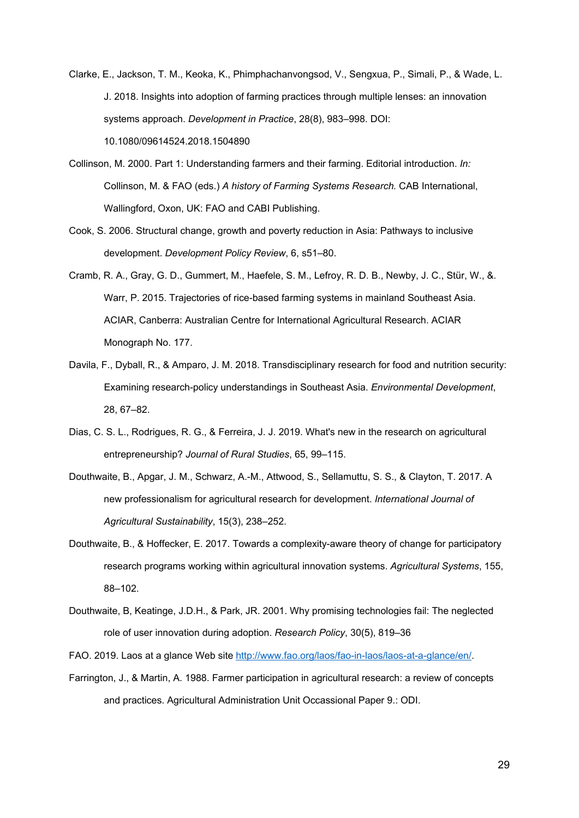- Clarke, E., Jackson, T. M., Keoka, K., Phimphachanvongsod, V., Sengxua, P., Simali, P., & Wade, L. J. 2018. Insights into adoption of farming practices through multiple lenses: an innovation systems approach. *Development in Practice*, 28(8), 983–998. DOI: 10.1080/09614524.2018.1504890
- Collinson, M. 2000. Part 1: Understanding farmers and their farming. Editorial introduction. *In:* Collinson, M. & FAO (eds.) *A history of Farming Systems Research.* CAB International, Wallingford, Oxon, UK: FAO and CABI Publishing.
- Cook, S. 2006. Structural change, growth and poverty reduction in Asia: Pathways to inclusive development. *Development Policy Review*, 6, s51–80.
- Cramb, R. A., Gray, G. D., Gummert, M., Haefele, S. M., Lefroy, R. D. B., Newby, J. C., Stür, W., &. Warr, P. 2015. Trajectories of rice-based farming systems in mainland Southeast Asia. ACIAR, Canberra: Australian Centre for International Agricultural Research. ACIAR Monograph No. 177.
- Davila, F., Dyball, R., & Amparo, J. M. 2018. Transdisciplinary research for food and nutrition security: Examining research-policy understandings in Southeast Asia. *Environmental Development*, 28, 67–82.
- Dias, C. S. L., Rodrigues, R. G., & Ferreira, J. J. 2019. What's new in the research on agricultural entrepreneurship? *Journal of Rural Studies*, 65, 99–115.
- Douthwaite, B., Apgar, J. M., Schwarz, A.-M., Attwood, S., Sellamuttu, S. S., & Clayton, T. 2017. A new professionalism for agricultural research for development. *International Journal of Agricultural Sustainability*, 15(3), 238–252.
- Douthwaite, B., & Hoffecker, E. 2017. Towards a complexity-aware theory of change for participatory research programs working within agricultural innovation systems. *Agricultural Systems*, 155, 88–102.
- Douthwaite, B, Keatinge, J.D.H., & Park, JR. 2001. Why promising technologies fail: The neglected role of user innovation during adoption. *Research Policy*, 30(5), 819–36

FAO. 2019. Laos at a glance Web site http://www.fao.org/laos/fao-in-laos/laos-at-a-glance/en/.

Farrington, J., & Martin, A. 1988. Farmer participation in agricultural research: a review of concepts and practices. Agricultural Administration Unit Occassional Paper 9.: ODI.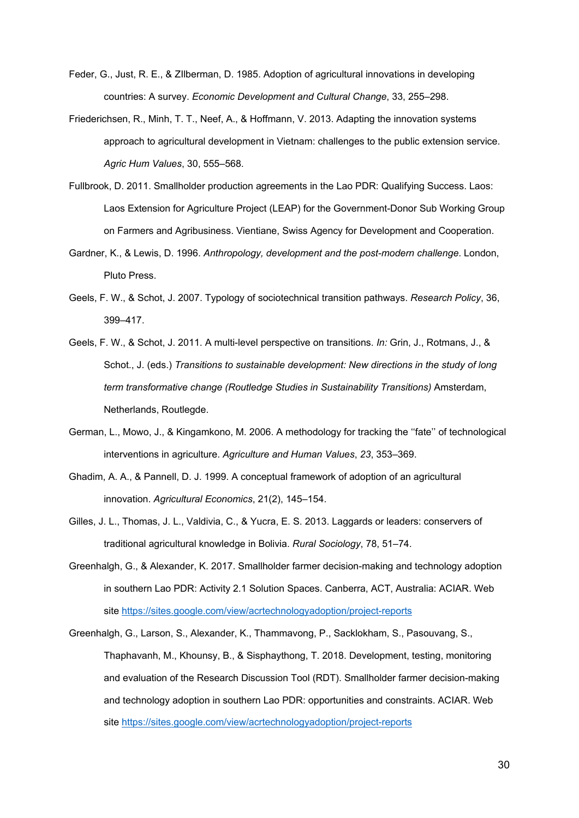- Feder, G., Just, R. E., & ZIlberman, D. 1985. Adoption of agricultural innovations in developing countries: A survey. *Economic Development and Cultural Change*, 33, 255–298.
- Friederichsen, R., Minh, T. T., Neef, A., & Hoffmann, V. 2013. Adapting the innovation systems approach to agricultural development in Vietnam: challenges to the public extension service. *Agric Hum Values*, 30, 555–568.
- Fullbrook, D. 2011. Smallholder production agreements in the Lao PDR: Qualifying Success. Laos: Laos Extension for Agriculture Project (LEAP) for the Government-Donor Sub Working Group on Farmers and Agribusiness. Vientiane, Swiss Agency for Development and Cooperation.
- Gardner, K., & Lewis, D. 1996. *Anthropology, development and the post-modern challenge*. London, Pluto Press.
- Geels, F. W., & Schot, J. 2007. Typology of sociotechnical transition pathways. *Research Policy*, 36, 399–417.
- Geels, F. W., & Schot, J. 2011. A multi-level perspective on transitions. *In:* Grin, J., Rotmans, J., & Schot., J. (eds.) *Transitions to sustainable development: New directions in the study of long term transformative change (Routledge Studies in Sustainability Transitions)* Amsterdam, Netherlands, Routlegde.
- German, L., Mowo, J., & Kingamkono, M. 2006. A methodology for tracking the ''fate'' of technological interventions in agriculture. *Agriculture and Human Values*, *23*, 353–369.
- Ghadim, A. A., & Pannell, D. J. 1999. A conceptual framework of adoption of an agricultural innovation. *Agricultural Economics*, 21(2), 145–154.
- Gilles, J. L., Thomas, J. L., Valdivia, C., & Yucra, E. S. 2013. Laggards or leaders: conservers of traditional agricultural knowledge in Bolivia. *Rural Sociology*, 78, 51–74.
- Greenhalgh, G., & Alexander, K. 2017. Smallholder farmer decision-making and technology adoption in southern Lao PDR: Activity 2.1 Solution Spaces. Canberra, ACT, Australia: ACIAR. Web site https://sites.google.com/view/acrtechnologyadoption/project-reports
- Greenhalgh, G., Larson, S., Alexander, K., Thammavong, P., Sacklokham, S., Pasouvang, S., Thaphavanh, M., Khounsy, B., & Sisphaythong, T. 2018. Development, testing, monitoring and evaluation of the Research Discussion Tool (RDT). Smallholder farmer decision-making and technology adoption in southern Lao PDR: opportunities and constraints. ACIAR. Web site https://sites.google.com/view/acrtechnologyadoption/project-reports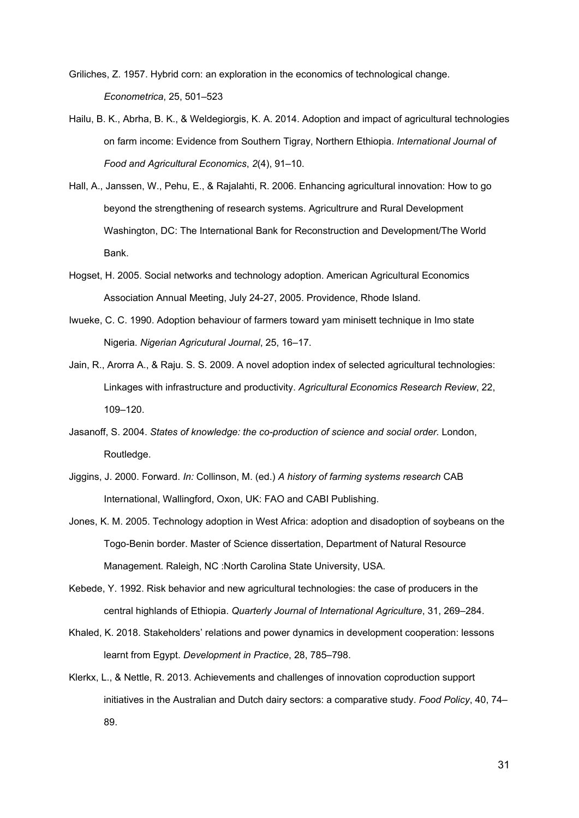- Griliches, Z. 1957. Hybrid corn: an exploration in the economics of technological change. *Econometrica*, 25, 501–523
- Hailu, B. K., Abrha, B. K., & Weldegiorgis, K. A. 2014. Adoption and impact of agricultural technologies on farm income: Evidence from Southern Tigray, Northern Ethiopia. *International Journal of Food and Agricultural Economics*, *2*(4), 91–10.
- Hall, A., Janssen, W., Pehu, E., & Rajalahti, R. 2006. Enhancing agricultural innovation: How to go beyond the strengthening of research systems. Agricultrure and Rural Development Washington, DC: The International Bank for Reconstruction and Development/The World Bank.
- Hogset, H. 2005. Social networks and technology adoption. American Agricultural Economics Association Annual Meeting, July 24-27, 2005. Providence, Rhode Island.
- Iwueke, C. C. 1990. Adoption behaviour of farmers toward yam minisett technique in Imo state Nigeria. *Nigerian Agricutural Journal*, 25, 16–17.
- Jain, R., Arorra A., & Raju. S. S. 2009. A novel adoption index of selected agricultural technologies: Linkages with infrastructure and productivity. *Agricultural Economics Research Review*, 22, 109–120.
- Jasanoff, S. 2004. *States of knowledge: the co-production of science and social order.* London, Routledge.
- Jiggins, J. 2000. Forward. *In:* Collinson, M. (ed.) *A history of farming systems research* CAB International, Wallingford, Oxon, UK: FAO and CABI Publishing.
- Jones, K. M. 2005. Technology adoption in West Africa: adoption and disadoption of soybeans on the Togo-Benin border. Master of Science dissertation, Department of Natural Resource Management. Raleigh, NC :North Carolina State University, USA.
- Kebede, Y. 1992. Risk behavior and new agricultural technologies: the case of producers in the central highlands of Ethiopia. *Quarterly Journal of International Agriculture*, 31, 269–284.
- Khaled, K. 2018. Stakeholders' relations and power dynamics in development cooperation: lessons learnt from Egypt. *Development in Practice*, 28, 785–798.
- Klerkx, L., & Nettle, R. 2013. Achievements and challenges of innovation coproduction support initiatives in the Australian and Dutch dairy sectors: a comparative study. *Food Policy*, 40, 74– 89.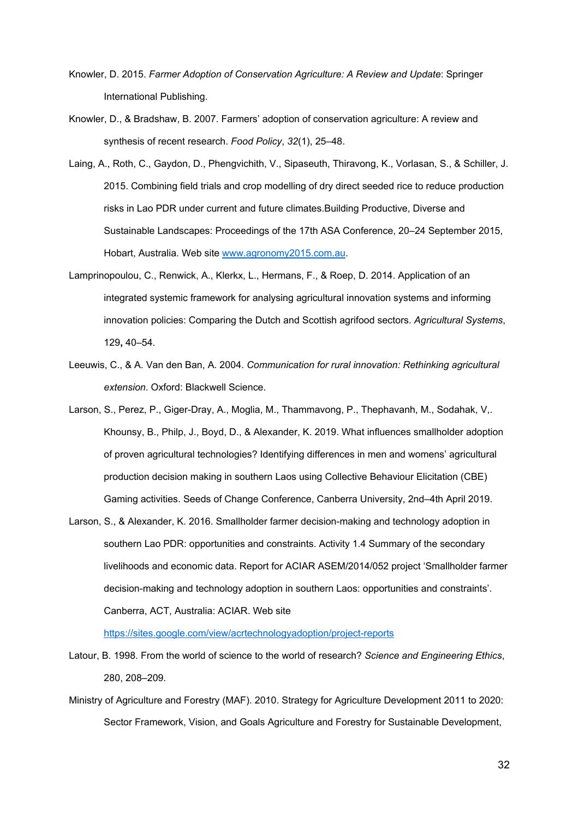- Knowler, D. 2015. *Farmer Adoption of Conservation Agriculture: A Review and Update*: Springer International Publishing.
- Knowler, D., & Bradshaw, B. 2007. Farmers' adoption of conservation agriculture: A review and synthesis of recent research. *Food Policy*, *32*(1), 25–48.
- Laing, A., Roth, C., Gaydon, D., Phengvichith, V., Sipaseuth, Thiravong, K., Vorlasan, S., & Schiller, J. 2015. Combining field trials and crop modelling of dry direct seeded rice to reduce production risks in Lao PDR under current and future climates.Building Productive, Diverse and Sustainable Landscapes: Proceedings of the 17th ASA Conference, 20–24 September 2015, Hobart, Australia. Web site www.agronomy2015.com.au.
- Lamprinopoulou, C., Renwick, A., Klerkx, L., Hermans, F., & Roep, D. 2014. Application of an integrated systemic framework for analysing agricultural innovation systems and informing innovation policies: Comparing the Dutch and Scottish agrifood sectors. *Agricultural Systems*, 129**,** 40–54.
- Leeuwis, C., & A. Van den Ban, A. 2004. *Communication for rural innovation: Rethinking agricultural extension*. Oxford: Blackwell Science.
- Larson, S., Perez, P., Giger-Dray, A., Moglia, M., Thammavong, P., Thephavanh, M., Sodahak, V,. Khounsy, B., Philp, J., Boyd, D., & Alexander, K. 2019. What influences smallholder adoption of proven agricultural technologies? Identifying differences in men and womens' agricultural production decision making in southern Laos using Collective Behaviour Elicitation (CBE) Gaming activities. Seeds of Change Conference, Canberra University, 2nd–4th April 2019.
- Larson, S., & Alexander, K. 2016. Smallholder farmer decision-making and technology adoption in southern Lao PDR: opportunities and constraints. Activity 1.4 Summary of the secondary livelihoods and economic data. Report for ACIAR ASEM/2014/052 project 'Smallholder farmer decision-making and technology adoption in southern Laos: opportunities and constraints'. Canberra, ACT, Australia: ACIAR. Web site

<https://sites.google.com/view/acrtechnologyadoption/project-reports>

- Latour, B. 1998. From the world of science to the world of research? *Science and Engineering Ethics*, 280, 208–209.
- Ministry of Agriculture and Forestry (MAF). 2010. Strategy for Agriculture Development 2011 to 2020: Sector Framework, Vision, and Goals Agriculture and Forestry for Sustainable Development,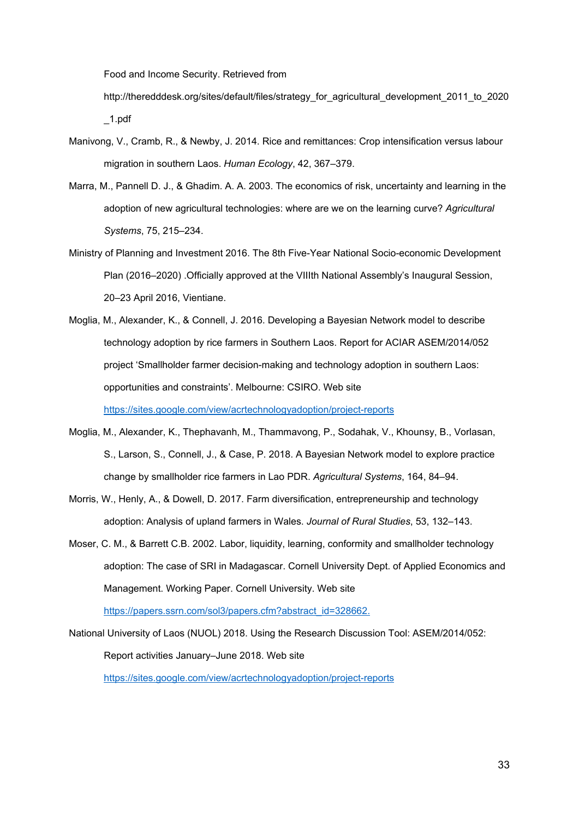Food and Income Security. Retrieved from

[http://theredddesk.org/sites/default/files/strategy\\_for\\_agricultural\\_development\\_2011\\_to\\_2020](http://theredddesk.org/sites/default/files/strategy_for_agricultural_development_2011_to_2020_1.pdf) [\\_1.pdf](http://theredddesk.org/sites/default/files/strategy_for_agricultural_development_2011_to_2020_1.pdf)

- Manivong, V., Cramb, R., & Newby, J. 2014. Rice and remittances: Crop intensification versus labour migration in southern Laos. *Human Ecology*, 42, 367–379.
- Marra, M., Pannell D. J., & Ghadim. A. A. 2003. The economics of risk, uncertainty and learning in the adoption of new agricultural technologies: where are we on the learning curve? *Agricultural Systems*, 75, 215–234.
- Ministry of Planning and Investment 2016. The 8th Five-Year National Socio-economic Development Plan (2016–2020) .Officially approved at the VIIIth National Assembly's Inaugural Session, 20–23 April 2016, Vientiane.
- Moglia, M., Alexander, K., & Connell, J. 2016. Developing a Bayesian Network model to describe technology adoption by rice farmers in Southern Laos. Report for ACIAR ASEM/2014/052 project 'Smallholder farmer decision-making and technology adoption in southern Laos: opportunities and constraints'. Melbourne: CSIRO. Web site https://sites.google.com/view/acrtechnologyadoption/project-reports
- Moglia, M., Alexander, K., Thephavanh, M., Thammavong, P., Sodahak, V., Khounsy, B., Vorlasan, S., Larson, S., Connell, J., & Case, P. 2018. A Bayesian Network model to explore practice change by smallholder rice farmers in Lao PDR. *Agricultural Systems*, 164, 84–94.
- Morris, W., Henly, A., & Dowell, D. 2017. Farm diversification, entrepreneurship and technology adoption: Analysis of upland farmers in Wales. *Journal of Rural Studies*, 53, 132–143.
- Moser, C. M., & Barrett C.B. 2002. Labor, liquidity, learning, conformity and smallholder technology adoption: The case of SRI in Madagascar. Cornell University Dept. of Applied Economics and Management. Working Paper. Cornell University. Web site

[https://papers.ssrn.com/sol3/papers.cfm?abstract\\_id=328662.](https://papers.ssrn.com/sol3/papers.cfm?abstract_id=328662)

National University of Laos (NUOL) 2018. Using the Research Discussion Tool: ASEM/2014/052: Report activities January–June 2018. Web site

https://sites.google.com/view/acrtechnologyadoption/project-reports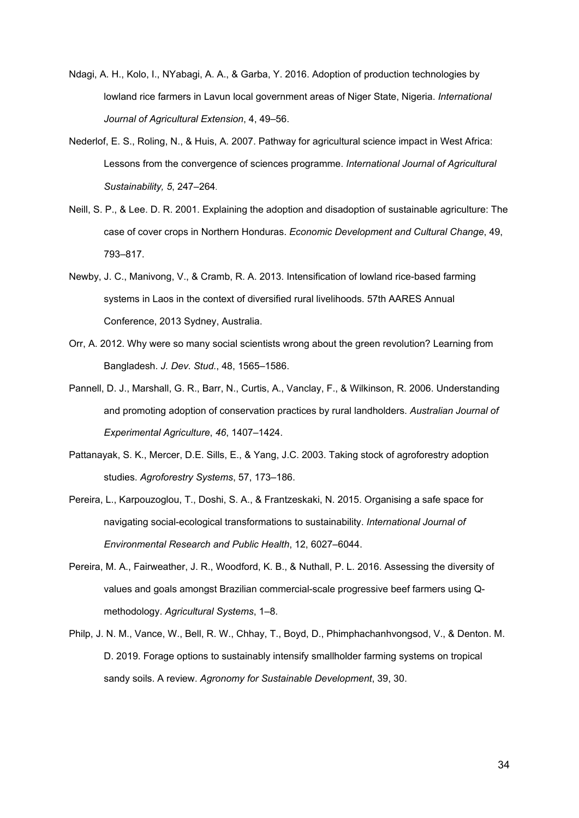- Ndagi, A. H., Kolo, I., NYabagi, A. A., & Garba, Y. 2016. Adoption of production technologies by lowland rice farmers in Lavun local government areas of Niger State, Nigeria. *International Journal of Agricultural Extension*, 4, 49–56.
- Nederlof, E. S., Roling, N., & Huis, A. 2007. Pathway for agricultural science impact in West Africa: Lessons from the convergence of sciences programme. *International Journal of Agricultural Sustainability, 5*, 247–264.
- Neill, S. P., & Lee. D. R. 2001. Explaining the adoption and disadoption of sustainable agriculture: The case of cover crops in Northern Honduras. *Economic Development and Cultural Change*, 49, 793–817.
- Newby, J. C., Manivong, V., & Cramb, R. A. 2013. Intensification of lowland rice-based farming systems in Laos in the context of diversified rural livelihoods. 57th AARES Annual Conference, 2013 Sydney, Australia.
- Orr, A. 2012. Why were so many social scientists wrong about the green revolution? Learning from Bangladesh. *J. Dev. Stud.*, 48, 1565–1586.
- Pannell, D. J., Marshall, G. R., Barr, N., Curtis, A., Vanclay, F., & Wilkinson, R. 2006. Understanding and promoting adoption of conservation practices by rural landholders. *Australian Journal of Experimental Agriculture*, *46*, 1407–1424.
- Pattanayak, S. K., Mercer, D.E. Sills, E., & Yang, J.C. 2003. Taking stock of agroforestry adoption studies. *Agroforestry Systems*, 57, 173–186.
- Pereira, L., Karpouzoglou, T., Doshi, S. A., & Frantzeskaki, N. 2015. Organising a safe space for navigating social-ecological transformations to sustainability. *International Journal of Environmental Research and Public Health*, 12, 6027–6044.
- Pereira, M. A., Fairweather, J. R., Woodford, K. B., & Nuthall, P. L. 2016. Assessing the diversity of values and goals amongst Brazilian commercial-scale progressive beef farmers using Qmethodology. *Agricultural Systems*, 1–8.
- Philp, J. N. M., Vance, W., Bell, R. W., Chhay, T., Boyd, D., Phimphachanhvongsod, V., & Denton. M. D. 2019. Forage options to sustainably intensify smallholder farming systems on tropical sandy soils. A review. *Agronomy for Sustainable Development*, 39, 30.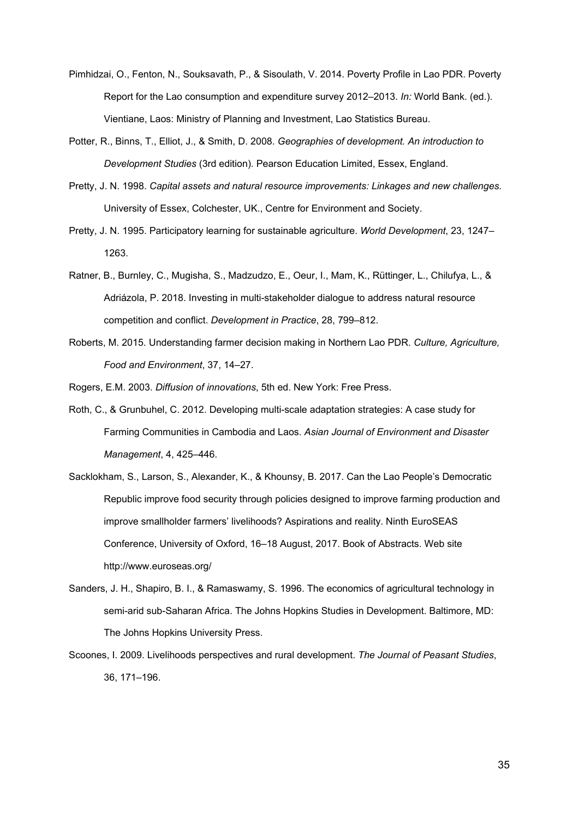- Pimhidzai, O., Fenton, N., Souksavath, P., & Sisoulath, V. 2014. Poverty Profile in Lao PDR. Poverty Report for the Lao consumption and expenditure survey 2012–2013. *In:* World Bank. (ed.). Vientiane, Laos: Ministry of Planning and Investment, Lao Statistics Bureau.
- Potter, R., Binns, T., Elliot, J., & Smith, D. 2008. *Geographies of development. An introduction to Development Studies* (3rd edition). Pearson Education Limited, Essex, England.
- Pretty, J. N. 1998. *Capital assets and natural resource improvements: Linkages and new challenges.* University of Essex, Colchester, UK., Centre for Environment and Society.
- Pretty, J. N. 1995. Participatory learning for sustainable agriculture. *World Development*, 23, 1247– 1263.
- Ratner, B., Burnley, C., Mugisha, S., Madzudzo, E., Oeur, I., Mam, K., Rüttinger, L., Chilufya, L., & Adriázola, P. 2018. Investing in multi-stakeholder dialogue to address natural resource competition and conflict. *Development in Practice*, 28, 799–812.
- Roberts, M. 2015. Understanding farmer decision making in Northern Lao PDR. *Culture, Agriculture, Food and Environment*, 37, 14–27.

Rogers, E.M. 2003. *Diffusion of innovations*, 5th ed. New York: Free Press.

- Roth, C., & Grunbuhel, C. 2012. Developing multi-scale adaptation strategies: A case study for Farming Communities in Cambodia and Laos. *Asian Journal of Environment and Disaster Management*, 4, 425–446.
- Sacklokham, S., Larson, S., Alexander, K., & Khounsy, B. 2017. Can the Lao People's Democratic Republic improve food security through policies designed to improve farming production and improve smallholder farmers' livelihoods? Aspirations and reality. Ninth EuroSEAS Conference, University of Oxford, 16–18 August, 2017. Book of Abstracts. Web site http://www.euroseas.org/
- Sanders, J. H., Shapiro, B. I., & Ramaswamy, S. 1996. The economics of agricultural technology in semi-arid sub-Saharan Africa. The Johns Hopkins Studies in Development. Baltimore, MD: The Johns Hopkins University Press.
- Scoones, I. 2009. Livelihoods perspectives and rural development. *The Journal of Peasant Studies*, 36, 171–196.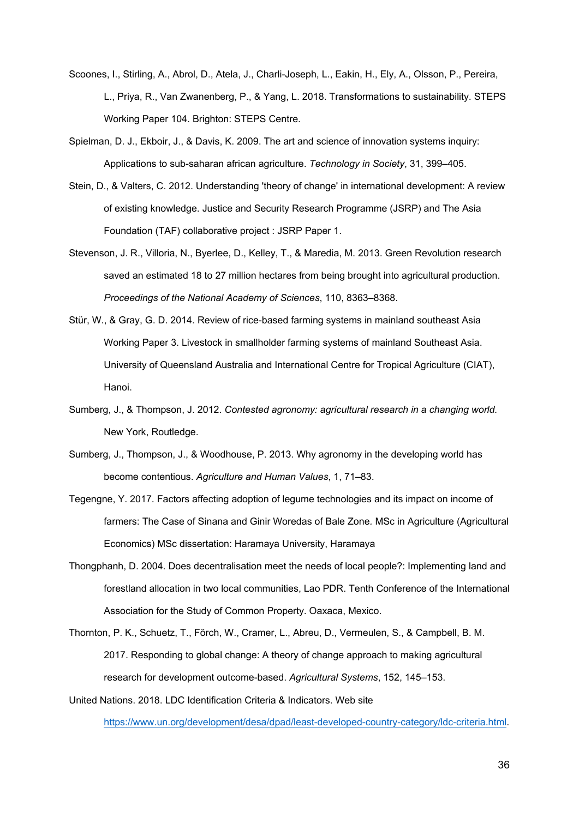- Scoones, I., Stirling, A., Abrol, D., Atela, J., Charli-Joseph, L., Eakin, H., Ely, A., Olsson, P., Pereira, L., Priya, R., Van Zwanenberg, P., & Yang, L. 2018. Transformations to sustainability. STEPS Working Paper 104. Brighton: STEPS Centre.
- Spielman, D. J., Ekboir, J., & Davis, K. 2009. The art and science of innovation systems inquiry: Applications to sub-saharan african agriculture. *Technology in Society*, 31, 399–405.
- Stein, D., & Valters, C. 2012. Understanding 'theory of change' in international development: A review of existing knowledge. Justice and Security Research Programme (JSRP) and The Asia Foundation (TAF) collaborative project : JSRP Paper 1.
- Stevenson, J. R., Villoria, N., Byerlee, D., Kelley, T., & Maredia, M. 2013. Green Revolution research saved an estimated 18 to 27 million hectares from being brought into agricultural production. *Proceedings of the National Academy of Sciences*, 110, 8363–8368.
- Stür, W., & Gray, G. D. 2014. Review of rice-based farming systems in mainland southeast Asia Working Paper 3. Livestock in smallholder farming systems of mainland Southeast Asia. University of Queensland Australia and International Centre for Tropical Agriculture (CIAT), Hanoi.
- Sumberg, J., & Thompson, J. 2012. *Contested agronomy: agricultural research in a changing world.* New York, Routledge.
- Sumberg, J., Thompson, J., & Woodhouse, P. 2013. Why agronomy in the developing world has become contentious. *Agriculture and Human Values*, 1, 71–83.
- Tegengne, Y. 2017. Factors affecting adoption of legume technologies and its impact on income of farmers: The Case of Sinana and Ginir Woredas of Bale Zone*.* MSc in Agriculture (Agricultural Economics) MSc dissertation: Haramaya University, Haramaya
- Thongphanh, D. 2004. Does decentralisation meet the needs of local people?: Implementing land and forestland allocation in two local communities, Lao PDR. Tenth Conference of the International Association for the Study of Common Property. Oaxaca, Mexico.
- Thornton, P. K., Schuetz, T., Förch, W., Cramer, L., Abreu, D., Vermeulen, S., & Campbell, B. M. 2017. Responding to global change: A theory of change approach to making agricultural research for development outcome-based. *Agricultural Systems*, 152, 145–153.
- United Nations. 2018. LDC Identification Criteria & Indicators. Web site https://www.un.org/development/desa/dpad/least-developed-country-category/ldc-criteria.html.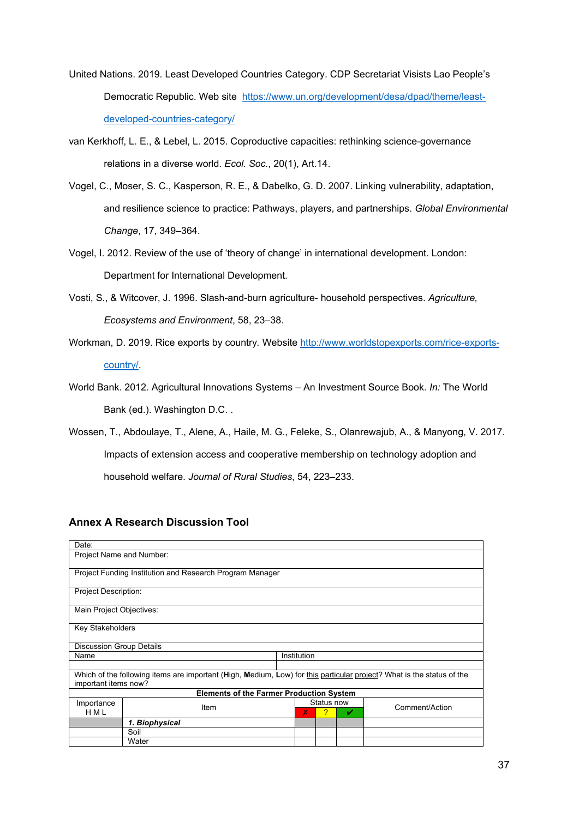- United Nations. 2019*.* Least Developed Countries Category. CDP Secretariat Visists Lao People's Democratic Republic. Web site [https://www.un.org/development/desa/dpad/theme/least](https://www.un.org/development/desa/dpad/theme/least-developed-countries-category/)[developed-countries-category/](https://www.un.org/development/desa/dpad/theme/least-developed-countries-category/)
- van Kerkhoff, L. E., & Lebel, L. 2015. Coproductive capacities: rethinking science-governance relations in a diverse world. *Ecol. Soc.*, 20(1), Art.14.
- Vogel, C., Moser, S. C., Kasperson, R. E., & Dabelko, G. D. 2007. Linking vulnerability, adaptation, and resilience science to practice: Pathways, players, and partnerships. *Global Environmental Change*, 17, 349–364.
- Vogel, I. 2012. Review of the use of 'theory of change' in international development. London: Department for International Development.
- Vosti, S., & Witcover, J. 1996. Slash-and-burn agriculture- household perspectives. *Agriculture, Ecosystems and Environment*, 58, 23–38.
- Workman, D. 2019. Rice exports by country*.* Website http://www.worldstopexports.com/rice-exportscountry/.
- World Bank. 2012. Agricultural Innovations Systems An Investment Source Book. *In:* The World Bank (ed.). Washington D.C. .
- Wossen, T., Abdoulaye, T., Alene, A., Haile, M. G., Feleke, S., Olanrewajub, A., & Manyong, V. 2017. Impacts of extension access and cooperative membership on technology adoption and household welfare. *Journal of Rural Studies*, 54, 223–233.

# **Annex A Research Discussion Tool**

| Date:                                                                                                                                         |                                                          |   |                      |  |                |
|-----------------------------------------------------------------------------------------------------------------------------------------------|----------------------------------------------------------|---|----------------------|--|----------------|
| Project Name and Number:                                                                                                                      |                                                          |   |                      |  |                |
|                                                                                                                                               | Project Funding Institution and Research Program Manager |   |                      |  |                |
| <b>Project Description:</b>                                                                                                                   |                                                          |   |                      |  |                |
| Main Project Objectives:                                                                                                                      |                                                          |   |                      |  |                |
|                                                                                                                                               | Key Stakeholders                                         |   |                      |  |                |
| <b>Discussion Group Details</b>                                                                                                               |                                                          |   |                      |  |                |
| Institution<br>Name                                                                                                                           |                                                          |   |                      |  |                |
|                                                                                                                                               |                                                          |   |                      |  |                |
| Which of the following items are important (High, Medium, Low) for this particular project? What is the status of the<br>important items now? |                                                          |   |                      |  |                |
| <b>Elements of the Farmer Production System</b>                                                                                               |                                                          |   |                      |  |                |
| Importance<br><b>HML</b>                                                                                                                      | Item                                                     | Х | Status now<br>?<br>✓ |  | Comment/Action |
|                                                                                                                                               | 1. Biophysical                                           |   |                      |  |                |
|                                                                                                                                               | Soil                                                     |   |                      |  |                |
|                                                                                                                                               | Water                                                    |   |                      |  |                |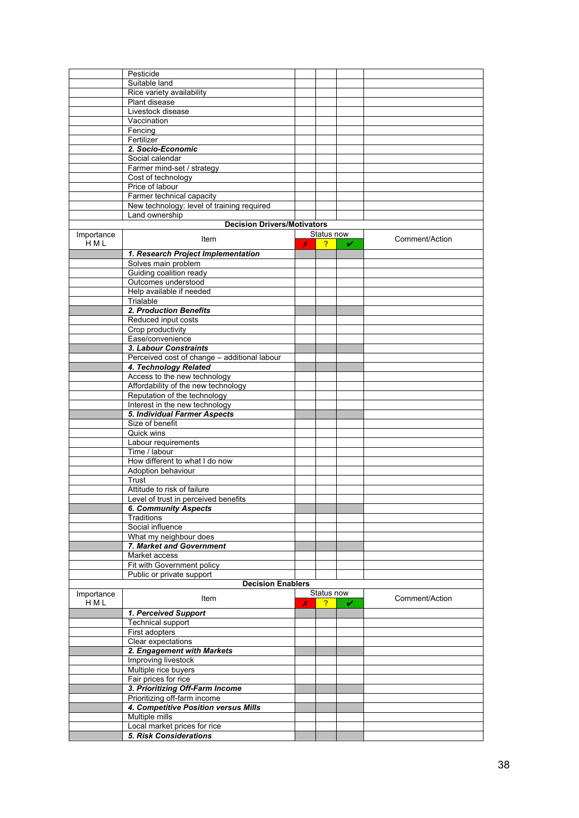|                     | Pesticide                                    |   |                |   |                |
|---------------------|----------------------------------------------|---|----------------|---|----------------|
|                     |                                              |   |                |   |                |
|                     | Suitable land                                |   |                |   |                |
|                     | Rice variety availability                    |   |                |   |                |
|                     | Plant disease                                |   |                |   |                |
|                     | Livestock disease                            |   |                |   |                |
|                     | Vaccination                                  |   |                |   |                |
|                     | Fencing                                      |   |                |   |                |
|                     | Fertilizer                                   |   |                |   |                |
|                     | 2. Socio-Economic                            |   |                |   |                |
|                     |                                              |   |                |   |                |
|                     | Social calendar                              |   |                |   |                |
|                     | Farmer mind-set / strategy                   |   |                |   |                |
|                     | Cost of technology                           |   |                |   |                |
|                     | Price of labour                              |   |                |   |                |
|                     | Farmer technical capacity                    |   |                |   |                |
|                     | New technology: level of training required   |   |                |   |                |
|                     | Land ownership                               |   |                |   |                |
|                     | <b>Decision Drivers/Motivators</b>           |   |                |   |                |
| Importance          |                                              |   | Status now     |   |                |
| HML                 | Item                                         | x | $\overline{?}$ | ✓ | Comment/Action |
|                     |                                              |   |                |   |                |
|                     | 1. Research Project Implementation           |   |                |   |                |
|                     | Solves main problem                          |   |                |   |                |
|                     | Guiding coalition ready                      |   |                |   |                |
|                     | Outcomes understood                          |   |                |   |                |
|                     | Help available if needed                     |   |                |   |                |
|                     | Trialable                                    |   |                |   |                |
|                     | 2. Production Benefits                       |   |                |   |                |
|                     | Reduced input costs                          |   |                |   |                |
|                     | Crop productivity                            |   |                |   |                |
|                     | Ease/convenience                             |   |                |   |                |
|                     |                                              |   |                |   |                |
|                     | 3. Labour Constraints                        |   |                |   |                |
|                     | Perceived cost of change - additional labour |   |                |   |                |
|                     | 4. Technology Related                        |   |                |   |                |
|                     | Access to the new technology                 |   |                |   |                |
|                     | Affordability of the new technology          |   |                |   |                |
|                     | Reputation of the technology                 |   |                |   |                |
|                     | Interest in the new technology               |   |                |   |                |
|                     | 5. Individual Farmer Aspects                 |   |                |   |                |
|                     | Size of benefit                              |   |                |   |                |
|                     | Quick wins                                   |   |                |   |                |
|                     | Labour requirements                          |   |                |   |                |
|                     | Time / labour                                |   |                |   |                |
|                     | How different to what I do now               |   |                |   |                |
|                     | Adoption behaviour                           |   |                |   |                |
|                     | Trust                                        |   |                |   |                |
|                     |                                              |   |                |   |                |
|                     | Attitude to risk of failure                  |   |                |   |                |
|                     | Level of trust in perceived benefits         |   |                |   |                |
|                     | <b>6. Community Aspects</b>                  |   |                |   |                |
|                     | Traditions                                   |   |                |   |                |
|                     | Social influence                             |   |                |   |                |
|                     | What my neighbour does                       |   |                |   |                |
|                     | 7. Market and Government                     |   |                |   |                |
|                     | Market access                                |   |                |   |                |
|                     | Fit with Government policy                   |   |                |   |                |
|                     | Public or private support                    |   |                |   |                |
|                     | <b>Decision Enablers</b>                     |   |                |   |                |
|                     |                                              |   | Status now     |   |                |
| Importance<br>H M L | Item                                         | X | 2              | V | Comment/Action |
|                     |                                              |   |                |   |                |
|                     | 1. Perceived Support                         |   |                |   |                |
|                     | <b>Technical support</b>                     |   |                |   |                |
|                     | First adopters                               |   |                |   |                |
|                     | Clear expectations                           |   |                |   |                |
|                     | 2. Engagement with Markets                   |   |                |   |                |
|                     | Improving livestock                          |   |                |   |                |
|                     | Multiple rice buyers                         |   |                |   |                |
|                     | Fair prices for rice                         |   |                |   |                |
|                     | 3. Prioritizing Off-Farm Income              |   |                |   |                |
|                     | Prioritizing off-farm income                 |   |                |   |                |
|                     | 4. Competitive Position versus Mills         |   |                |   |                |
|                     | Multiple mills                               |   |                |   |                |
|                     | Local market prices for rice                 |   |                |   |                |
|                     | 5. Risk Considerations                       |   |                |   |                |
|                     |                                              |   |                |   |                |